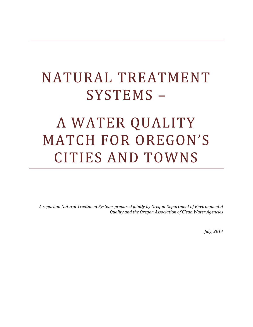# NATURAL TREATMENT SYSTEMS –

# A WATER QUALITY MATCH FOR OREGON'S CITIES AND TOWNS

*A report on Natural Treatment Systems prepared jointly by Oregon Department of Environmental Quality and the Oregon Association of Clean Water Agencies*

*July, 2014*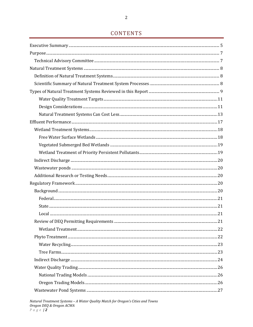# CONTENTS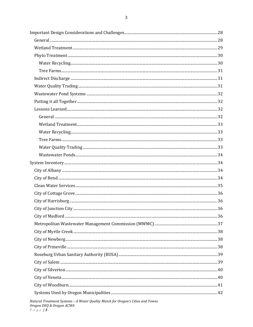| Natural Treatment Systems - A Water Quality Match for Oregon's Cities and Towns<br>Oregon DEQ & Oregon ACWA<br>$P \alpha \beta e$   3 |  |
|---------------------------------------------------------------------------------------------------------------------------------------|--|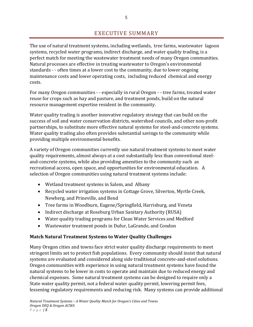# EXECUTIVE SUMMARY

The use of natural treatment systems, including wetlands, tree farms, wastewater lagoon systems, recycled water programs, indirect discharge, and water quality trading, is a perfect match for meeting the wastewater treatment needs of many Oregon communities. Natural processes are effective in treating wastewater to Oregon's environmental standards ‐ ‐ often times at a lower cost to the community, due to lower ongoing maintenance costs and lower operating costs, including reduced chemical and energy costs.

For many Oregon communities ‐ ‐ especially in rural Oregon ‐ ‐ tree farms, treated water reuse for crops such as hay and pasture, and treatment ponds, build on the natural resource management expertise resident in the community.

Water quality trading is another innovative regulatory strategy that can build on the success of soil and water conservation districts, watershed councils, and other non‐profit partnerships, to substitute more effective natural systems for steel‐and‐concrete systems. Water quality trading also often provides substantial savings to the community while providing multiple environmental benefits.

A variety of Oregon communities currently use natural treatment systems to meet water quality requirements, almost always at a cost substantially less than conventional steel‐ and‐concrete systems, while also providing amenities to the community such as recreational access, open space, and opportunities for environmental education. A selection of Oregon communities using natural treatment systems include:

- Wetland treatment systems in Salem, and Albany
- Recycled water irrigation systems in Cottage Grove, Silverton, Myrtle Creek, Newberg, and Prineville, and Bend
- Tree farms in Woodburn, Eugene/Springfield, Harrisburg, and Veneta
- Indirect discharge at Roseburg Urban Sanitary Authority (RUSA)
- Water quality trading programs for Clean Water Services and Medford
- Wastewater treatment ponds in Dufur, LaGrande, and Condon

# **Match Natural Treatment Systems to Water Quality Challenges**

Many Oregon cities and towns face strict water quality discharge requirements to meet stringent limits set to protect fish populations. Every community should insist that natural systems are evaluated and considered along side traditional concrete-and-steel solutions. Oregon communities with experience in using natural treatment systems have found the natural systems to be lower in costs to operate and maintain due to reduced energy and chemical expenses. Some natural treatment systems can be designed to require only a State water quality permit, not a federal water quality permit, lowering permit fees, lessening regulatory requirements and reducing risk. Many systems can provide additional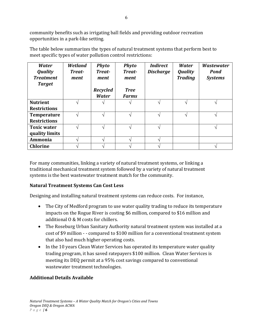community benefits such as irrigating ball fields and providing outdoor recreation opportunities in a park‐like setting.

The table below summarizes the types of natural treatment systems that perform best to meet specific types of water pollution control restrictions:

| <b>Water</b><br><b>Quality</b><br><b>Treatment</b><br><b>Target</b> | Wetland<br>Treat-<br>ment | <b>Phyto</b><br><b>Treat-</b><br>ment | <b>Phyto</b><br><b>Treat-</b><br>ment | <b>Indirect</b><br><b>Discharge</b> | Water<br><b>Quality</b><br><b>Trading</b> | <b>Wastewater</b><br><b>Pond</b><br><b>Systems</b> |
|---------------------------------------------------------------------|---------------------------|---------------------------------------|---------------------------------------|-------------------------------------|-------------------------------------------|----------------------------------------------------|
|                                                                     |                           | <b>Recycled</b>                       | <b>Tree</b>                           |                                     |                                           |                                                    |
|                                                                     |                           | <b>Water</b>                          | <b>Farms</b>                          |                                     |                                           |                                                    |
| <b>Nutrient</b>                                                     |                           |                                       |                                       |                                     |                                           |                                                    |
| <b>Restrictions</b>                                                 |                           |                                       |                                       |                                     |                                           |                                                    |
| <b>Temperature</b>                                                  |                           |                                       |                                       |                                     | ᄾ                                         |                                                    |
| <b>Restrictions</b>                                                 |                           |                                       |                                       |                                     |                                           |                                                    |
| <b>Toxic water</b>                                                  |                           |                                       |                                       |                                     |                                           |                                                    |
| quality limits                                                      |                           |                                       |                                       |                                     |                                           |                                                    |
| Ammonia                                                             |                           |                                       |                                       |                                     |                                           |                                                    |
| <b>Chlorine</b>                                                     |                           |                                       |                                       |                                     |                                           |                                                    |

For many communities, linking a variety of natural treatment systems, or linking a traditional mechanical treatment system followed by a variety of natural treatment systems is the best wastewater treatment match for the community.

# **Natural Treatment Systems Can Cost Less**

Designing and installing natural treatment systems can reduce costs. For instance,

- The City of Medford program to use water quality trading to reduce its temperature impacts on the Rogue River is costing \$6 million, compared to \$16 million and additional O & M costs for chillers.
- The Roseburg Urban Sanitary Authority natural treatment system was installed at a cost of \$9 million - - compared to \$100 million for a conventional treatment system that also had much higher operating costs.
- In the 10 years Clean Water Services has operated its temperature water quality trading program, it has saved ratepayers \$100 million. Clean Water Services is meeting its DEQ permit at a 95% cost savings compared to conventional wastewater treatment technologies.

# **Additional Details Available**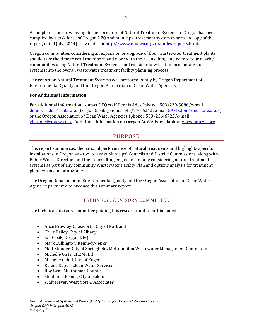A complete report reviewing the performance of Natural Treatment Systems in Oregon has been compiled by a task force of Oregon DEQ and municipal treatment system experts. A copy of the report, dated July, 2014) is available at http://www.oracwa.org/r‐studies‐reports.html.

Oregon communities considering an expansion or upgrade of their wastewater treatment plants should take the time to read the report, and work with their consulting engineer to tour nearby communities using Natural Treatment Systems, and consider how best to incorporate these systems into the overall wastewater treatment facility planning process.

The report on Natural Treatment Systems was prepared jointly by Oregon Department of Environmental Quality and the Oregon Association of Clean Water Agencies

#### **For Additional Information**

For additional information, contact DEQ staff Dennis Ades (phone: 503/229‐5886/e‐mail dennis.r.ades@state.or.us) or Jon Gasik (phone: 541/776‐6242/e‐mail GASIK.Jon@deq.state.or.us) or the Oregon Association of Clean Water Agencies (phone: 503/236‐6722/e‐mail gillaspie@oracwa.org. Additional information on Oregon ACWA is available at www.oracwa.org.

# PURPOSE

This report summarizes the national performance of natural treatments and highlights specific installations in Oregon as a tool to assist Municipal Councils and District Commissions, along with Public Works Directors and their consulting engineers, in fully considering natural treatment systems as part of any community Wastewater Facility Plan and options analysis for treatment plant expansion or upgrade.

The Oregon Department of Environmental Quality and the Oregon Association of Clean Water Agencies partnered to produce this summary report.

# TECHNICAL ADVISORY COMMITTEE

The technical advisory committee guiding this research and report included:

- Alice Brawley-Chesworth, City of Portland
- Chris Bailey, City of Albany
- Jon Gasik, Oregon DEQ
- Mark Cullington, Kennedy-Jenks
- Matt Stouder, City of Springfield/Metropolitan Wastewater Management Commission
- Michelle Girts, CH2M Hill
- Michelle Cahill, City of Eugene
- Rajeev Kapur, Clean Water Services
- Roy Iwai, Multnomah County
- Stephanie Eisner, City of Salem
- Walt Meyer, West Yost & Associates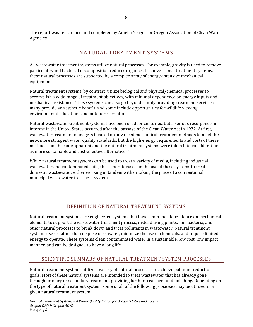The report was researched and completed by Amelia Yeager for Oregon Association of Clean Water Agencies.

# NATURAL TREATMENT SYSTEMS

All wastewater treatment systems utilize natural processes. For example, gravity is used to remove particulates and bacterial decomposition reduces organics. In conventional treatment systems, these natural processes are supported by a complex array of energy-intensive mechanical equipment.

Natural treatment systems, by contrast, utilize biological and physical/chemical processes to accomplish a wide range of treatment objectives, with minimal dependence on energy inputs and mechanical assistance. These systems can also go beyond simply providing treatment services; many provide an aesthetic benefit, and some include opportunities for wildlife viewing, environmental education, and outdoor recreation.

Natural wastewater treatment systems have been used for centuries, but a serious resurgence in interest in the United States occurred after the passage of the Clean Water Act in 1972. At first, wastewater treatment managers focused on advanced mechanical treatment methods to meet the new, more stringent water quality standards, but the high energy requirements and costs of these methods soon became apparent and the natural treatment systems were taken into consideration as more sustainable and cost-effective alternatives.i

While natural treatment systems can be used to treat a variety of media, including industrial wastewater and contaminated soils, this report focuses on the use of these systems to treat domestic wastewater, either working in tandem with or taking the place of a conventional municipal wastewater treatment system.

# DEFINITION OF NATURAL TREATMENT SYSTEMS

Natural treatment systems are engineered systems that have a minimal dependence on mechanical elements to support the wastewater treatment process, instead using plants, soil, bacteria, and other natural processes to break down and treat pollutants in wastewater. Natural treatment systems use - - rather than dispose of - - water, minimize the use of chemicals, and require limited energy to operate. These systems clean contaminated water in a sustainable, low cost, low impact manner, and can be designed to have a long life.

# SCIENTIFIC SUMMARY OF NATURAL TREATMENT SYSTEM PROCESSES

Natural treatment systems utilize a variety of natural processes to achieve pollutant reduction goals. Most of these natural systems are intended to treat wastewater that has already gone through primary or secondary treatment, providing further treatment and polishing. Depending on the type of natural treatment system, some or all of the following processes may be utilized in a given natural treatment system.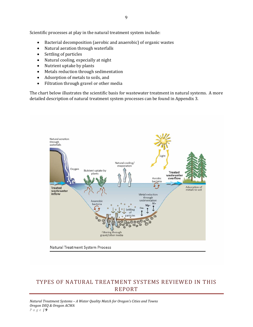Scientific processes at play in the natural treatment system include:

- Bacterial decomposition (aerobic and anaerobic) of organic wastes
- Natural aeration through waterfalls
- Settling of particles
- Natural cooling, especially at night
- Nutrient uptake by plants
- Metals reduction through sedimentation
- Adsorption of metals to soils, and
- Filtration through gravel or other media

The chart below illustrates the scientific basis for wastewater treatment in natural systems. A more detailed description of natural treatment system processes can be found in Appendix 3.



# TYPES OF NATURAL TREATMENT SYSTEMS REVIEWED IN THIS REPORT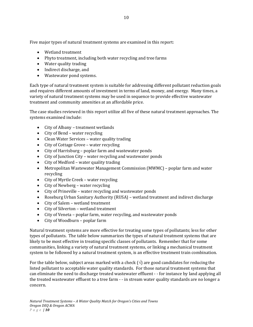Five major types of natural treatment systems are examined in this report:

- Wetland treatment
- Phyto treatment, including both water recycling and tree farms
- Water quality trading
- Indirect discharge, and
- Wastewater pond systems.

Each type of natural treatment system is suitable for addressing different pollutant reduction goals and requires different amounts of investment in terms of land, money, and energy. Many times, a variety of natural treatment systems may be used in sequence to provide effective wastewater treatment and community amenities at an affordable price.

The case studies reviewed in this report utilize all five of these natural treatment approaches. The systems examined include:

- City of Albany treatment wetlands
- City of Bend water recycling
- Clean Water Services water quality trading
- City of Cottage Grove water recycling
- City of Harrisburg poplar farm and wastewater ponds
- City of Junction City water recycling and wastewater ponds
- City of Medford water quality trading
- Metropolitan Wastewater Management Commission (MWMC) poplar farm and water recycling
- City of Myrtle Creek water recycling
- City of Newberg water recycling
- City of Prineville water recycling and wastewater ponds
- Roseburg Urban Sanitary Authority (RUSA) wetland treatment and indirect discharge
- City of Salem wetland treatment
- City of Silverton wetland treatment
- City of Veneta poplar farm, water recycling, and wastewater ponds
- City of Woodburn poplar farm

Natural treatment systems are more effective for treating some types of pollutants; less for other types of pollutants. The table below summarizes the types of natural treatment systems that are likely to be most effective in treating specific classes of pollutants. Remember that for some communities, linking a variety of natural treatment systems, or linking a mechanical treatment system to be followed by a natural treatment system, is an effective treatment train combination.

For the table below, subject areas marked with a check ( $\sqrt{ }$ ) are good candidates for reducing the listed pollutant to acceptable water quality standards. For those natural treatment systems that can eliminate the need to discharge treated wastewater effluent ‐ ‐ for instance by land applying all the treated wastewater effluent to a tree farm - - in stream water quality standards are no longer a concern.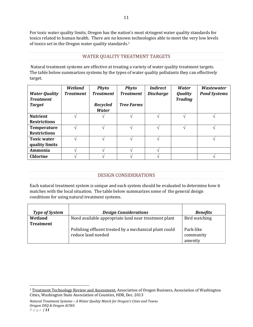For toxic water quality limits, Oregon has the nation's most stringent water quality standards for toxics related to human health. There are no known technologies able to meet the very low levels of toxics set in the Oregon water quality standards.1

#### WATER QUALITY TREATMENT TARGETS

 Natural treatment systems are effective at treating a variety of water quality treatment targets. The table below summarizes systems by the types of water quality pollutants they can effectively target.

| <b>Water Quality</b><br><b>Treatment</b><br><b>Target</b> | Wetland<br><b>Treatment</b> | <b>Phyto</b><br><b>Treatment</b><br><b>Recycled</b><br><b>Water</b> | <b>Phyto</b><br><b>Treatment</b><br><b>Tree Farms</b> | <b>Indirect</b><br><b>Discharge</b> | Water<br><b>Quality</b><br><b>Trading</b> | <i><b>Wastewater</b></i><br><b>Pond Systems</b> |
|-----------------------------------------------------------|-----------------------------|---------------------------------------------------------------------|-------------------------------------------------------|-------------------------------------|-------------------------------------------|-------------------------------------------------|
| <b>Nutrient</b>                                           |                             |                                                                     |                                                       |                                     |                                           |                                                 |
| <b>Restrictions</b>                                       |                             |                                                                     |                                                       |                                     |                                           |                                                 |
| Temperature                                               |                             |                                                                     |                                                       |                                     |                                           |                                                 |
| <b>Restrictions</b>                                       |                             |                                                                     |                                                       |                                     |                                           |                                                 |
| <b>Toxic water</b>                                        |                             |                                                                     |                                                       |                                     |                                           |                                                 |
| quality limits                                            |                             |                                                                     |                                                       |                                     |                                           |                                                 |
| Ammonia                                                   |                             |                                                                     |                                                       |                                     |                                           |                                                 |
| <b>Chlorine</b>                                           |                             |                                                                     |                                                       |                                     |                                           |                                                 |

# DESIGN CONSIDERATIONS

Each natural treatment system is unique and each system should be evaluated to determine how it matches with the local situation. The table below summarizes some of the general design conditions for using natural treatment systems.

| <b>Type of System</b>       | <b>Design Considerations</b>                                                 | <b>Benefits</b>                   |
|-----------------------------|------------------------------------------------------------------------------|-----------------------------------|
| Wetland<br><b>Treatment</b> | Need available appropriate land near treatment plant                         | Bird watching                     |
|                             | Polishing effluent treated by a mechanical plant could<br>reduce land needed | Park-like<br>community<br>amenity |

<sup>&</sup>lt;sup>1</sup> Treatment Technology Review and Assessment, Association of Oregon Business, Association of Washington Cities, Washington State Association of Counties, HDR, Dec. 2013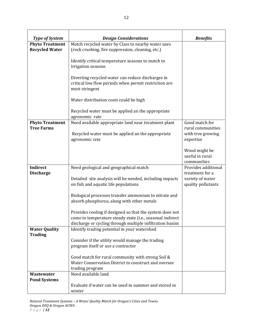| <b>Type of System</b><br><b>Design Considerations</b><br><b>Benefits</b><br>Match recycled water by Class to nearby water uses<br><b>Phyto Treatment</b><br><b>Recycled Water</b><br>(rock crushing, fire suppression, cleaning, etc.) |  |
|----------------------------------------------------------------------------------------------------------------------------------------------------------------------------------------------------------------------------------------|--|
|                                                                                                                                                                                                                                        |  |
|                                                                                                                                                                                                                                        |  |
|                                                                                                                                                                                                                                        |  |
| Identify critical temperature seasons to match to                                                                                                                                                                                      |  |
| irrigation seasons                                                                                                                                                                                                                     |  |
|                                                                                                                                                                                                                                        |  |
| Diverting recycled water can reduce discharges in                                                                                                                                                                                      |  |
| critical low flow periods when permit restriction are                                                                                                                                                                                  |  |
| most stringent                                                                                                                                                                                                                         |  |
|                                                                                                                                                                                                                                        |  |
| Water distribution costs could be high                                                                                                                                                                                                 |  |
|                                                                                                                                                                                                                                        |  |
| Recycled water must be applied an the appropriate<br>agronomic rate                                                                                                                                                                    |  |
| Good match for<br><b>Phyto Treatment</b><br>Need available appropriate land near treatment plant                                                                                                                                       |  |
| <b>Tree Farms</b><br>rural communities                                                                                                                                                                                                 |  |
| Recycled water must be applied an the appropriate<br>with tree growing                                                                                                                                                                 |  |
| agronomic rate<br>expertise                                                                                                                                                                                                            |  |
|                                                                                                                                                                                                                                        |  |
| Wood might be                                                                                                                                                                                                                          |  |
| useful in rural                                                                                                                                                                                                                        |  |
| communities                                                                                                                                                                                                                            |  |
| Provides additional<br><b>Indirect</b><br>Need geological and geographical match                                                                                                                                                       |  |
| <b>Discharge</b><br>treatment for a                                                                                                                                                                                                    |  |
| Detailed site analysis will be needed, including impacts<br>variety of water                                                                                                                                                           |  |
| on fish and aquatic life populations<br>quality pollutants                                                                                                                                                                             |  |
|                                                                                                                                                                                                                                        |  |
| Biological processes transfer ammonium to nitrate and                                                                                                                                                                                  |  |
| absorb phosphorus, along with other metals                                                                                                                                                                                             |  |
| Provides cooling if designed so that the system does not                                                                                                                                                                               |  |
| come to temperature steady state (i.e., seasonal indirect                                                                                                                                                                              |  |
| discharge or cycling through multiple infiltration basins                                                                                                                                                                              |  |
| <b>Water Quality</b><br>Identify trading potential in your watershed                                                                                                                                                                   |  |
| <b>Trading</b>                                                                                                                                                                                                                         |  |
| Consider if the utility would manage the trading                                                                                                                                                                                       |  |
| program itself or use a contractor                                                                                                                                                                                                     |  |
|                                                                                                                                                                                                                                        |  |
| Good match for rural community with strong Soil &                                                                                                                                                                                      |  |
| Water Conservation District to construct and oversee                                                                                                                                                                                   |  |
| trading program                                                                                                                                                                                                                        |  |
| Need available land<br>Wastewater                                                                                                                                                                                                      |  |
| <b>Pond Systems</b>                                                                                                                                                                                                                    |  |
| Evaluate if water can be used in summer and stored in<br>winter                                                                                                                                                                        |  |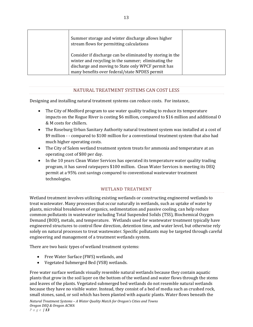| Summer storage and winter discharge allows higher<br>stream flows for permitting calculations                                                                                                                           |  |
|-------------------------------------------------------------------------------------------------------------------------------------------------------------------------------------------------------------------------|--|
| Consider if discharge can be eliminated by storing in the<br>winter and recycling in the summer; eliminating the<br>discharge and moving to State only WPCF permit has<br>many benefits over federal/state NPDES permit |  |

#### NATURAL TREATMENT SYSTEMS CAN COST LESS

Designing and installing natural treatment systems can reduce costs. For instance,

- The City of Medford program to use water quality trading to reduce its temperature impacts on the Rogue River is costing \$6 million, compared to \$16 million and additional O & M costs for chillers.
- The Roseburg Urban Sanitary Authority natural treatment system was installed at a cost of \$9 million ‐ ‐ compared to \$100 million for a conventional treatment system that also had much higher operating costs.
- The City of Salem wetland treatment system treats for ammonia and temperature at an operating cost of \$80 per day.
- In the 10 years Clean Water Services has operated its temperature water quality trading program, it has saved ratepayers \$100 million. Clean Water Services is meeting its DEQ permit at a 95% cost savings compared to conventional wastewater treatment technologies.

#### WETLAND TREATMENT

Wetland treatment involves utilizing existing wetlands or constructing engineered wetlands to treat wastewater. Many processes that occur naturally in wetlands, such as uptake of water by plants, microbial breakdown of organics, sedimentation and passive cooling, can help reduce common pollutants in wastewater including Total Suspended Solids (TSS), Biochemical Oxygen Demand (BOD), metals, and temperature. Wetlands used for wastewater treatment typically have engineered structures to control flow direction, detention time, and water level, but otherwise rely solely on natural processes to treat wastewater. Specific pollutants may be targeted through careful engineering and management of a treatment wetlands system.

There are two basic types of wetland treatment systems:

- Free Water Surface (FWS) wetlands, and
- Vegetated Submerged Bed (VSB) wetlands.

Free water surface wetlands visually resemble natural wetlands because they contain aquatic plants that grow in the soil layer on the bottom of the wetland and water flows through the stems and leaves of the plants. Vegetated submerged bed wetlands do not resemble natural wetlands because they have no visible water. Instead, they consist of a bed of media such as crushed rock, small stones, sand, or soil which has been planted with aquatic plants. Water flows beneath the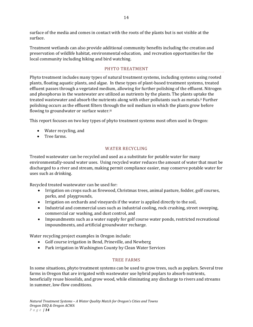surface of the media and comes in contact with the roots of the plants but is not visible at the surface.

Treatment wetlands can also provide additional community benefits including the creation and preservation of wildlife habitat, environmental education, and recreation opportunities for the local community including hiking and bird watching.

#### PHYTO TREATMENT

Phyto treatment includes many types of natural treatment systems, including systems using rooted plants, floating aquatic plants, and algae. In these types of plant‐based treatment systems, treated effluent passes through a vegetated medium, allowing for further polishing of the effluent. Nitrogen and phosphorus in the wastewater are utilized as nutrients by the plants. The plants uptake the treated wastewater and absorb the nutrients along with other pollutants such as metals.ii Further polishing occurs as the effluent filters through the soil medium in which the plants grow before flowing to groundwater or surface water.iii

This report focuses on two key types of phyto treatment systems most often used in Oregon:

- Water recycling, and
- Tree farms.

#### WATER RECYCLING

Treated wastewater can be recycled and used as a substitute for potable water for many environmentally‐sound water uses. Using recycled water reduces the amount of water that must be discharged to a river and stream, making permit compliance easier, may conserve potable water for uses such as drinking.

Recycled treated wastewater can be used for:

- Irrigation on crops such as firewood, Christmas trees, animal pasture, fodder, golf courses, parks, and playgrounds,
- Irrigation on orchards and vineyards if the water is applied directly to the soil,
- Industrial and commercial uses such as industrial cooling, rock crushing, street sweeping, commercial car washing, and dust control, and
- Impoundments such as a water supply for golf course water ponds, restricted recreational impoundments, and artificial groundwater recharge.

Water recycling project examples in Oregon include:

- Golf course irrigation in Bend, Prineville, and Newberg
- Park irrigation in Washington County by Clean Water Services

# TREE FARMS

In some situations, phyto treatment systems can be used to grow trees, such as poplars. Several tree farms in Oregon that are irrigated with wastewater use hybrid poplars to absorb nutrients, beneficially reuse biosolids, and grow wood, while eliminating any discharge to rivers and streams in summer, low‐flow conditions.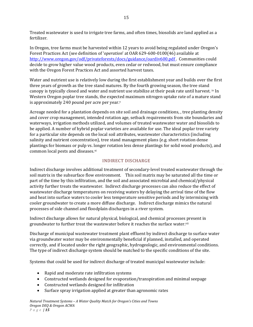Treated wastewater is used to irrigate tree farms, and often times, biosolids are land applied as a fertilizer.

In Oregon, tree farms must be harvested within 12 years to avoid being regulated under Oregon's Forest Practices Act (see definition of '*operation*' at OAR 629‐600‐0100(46) available at http://www.oregon.gov/odf/privateforests/docs/guidance/oardiv600.pdf . Communities could decide to grow higher value wood products, even cedar or redwood, but must ensure compliance with the Oregon Forest Practices Act and assorted harvest taxes.

Water and nutrient use is relatively low during the first establishment year and builds over the first three years of growth as the tree stand matures. By the fourth growing season, the tree stand canopy is typically closed and water and nutrient use stabilize at their peak rate until harvest. iv In Western Oregon poplar tree stands, the expected maximum nitrogen uptake rate of a mature stand is approximately 240 pound per acre per year.v

Acreage needed for a plantation depends on site soil and drainage conditions, , tree planting density and cover crop management, intended rotation age, setback requirements from site boundaries and waterways, irrigation methods utilized, and volumes of treated wastewater water and biosolids to be applied. A number of hybrid poplar varieties are available for use. The ideal poplar tree variety for a particular site depends on the local soil attributes, wastewater characteristics (including salinity and nutrient concentration), tree stand management plans (e.g. short rotation dense plantings for biomass or pulp vs. longer rotation less dense plantings for solid wood products), and common local pests and diseases.vi

#### INDIRECT DISCHARGE

Indirect discharge involves additional treatment of secondary‐level treated wastewater through the soil matrix in the subsurface flow environment. This soil matrix may be saturated all the time or part of the time by this infiltration, and the soil and associated microbial and chemical/physical activity further treats the wastewater. Indirect discharge processes can also reduce the effect of wastewater discharge temperatures on receiving waters by delaying the arrival time of the flow and heat into surface waters to cooler less temperature sensitive periods and by intermixing with cooler groundwater to create a more diffuse discharge. Indirect discharge mimics the natural processes of side channel and floodplain discharges in a river system.

Indirect discharge allows for natural physical, biological, and chemical processes present in groundwater to further treat the wastewater before it reaches the surface water.vii

Discharge of municipal wastewater treatment plant effluent by indirect discharge to surface water via groundwater water may be environmentally beneficial if planned, installed, and operated correctly, and if located under the right geographic, hydrogeologic, and environmental conditions. The type of indirect discharge system should be matched to the specific conditions of the site.

Systems that could be used for indirect discharge of treated municipal wastewater include:

- Rapid and moderate rate infiltration systems
- Constructed wetlands designed for evaporation/transpiration and minimal seepage
- Constructed wetlands designed for infiltration
- Surface spray irrigation applied at greater than agronomic rates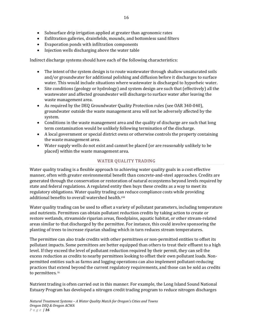- Subsurface drip irrigation applied at greater than agronomic rates
- Exfiltration galleries, drainfields, mounds, and bottomless sand filters
- Evaporation ponds with infiltration components
- Injection wells discharging above the water table

Indirect discharge systems should have each of the following characteristics:

- The intent of the system design is to route wastewater through shallow unsaturated soils and/or groundwater for additional polishing and diffusion before it discharges to surface water. This would include situations where wastewater is discharged to hyporheic water.
- Site conditions (geology or hydrology) and system design are such that (effectively) all the wastewater and affected groundwater will discharge to surface water after leaving the waste management area.
- As required by the DEQ Groundwater Quality Protection rules (see OAR 340‐040), groundwater outside the waste management area will not be adversely affected by the system.
- Conditions in the waste management area and the quality of discharge are such that long term contamination would be unlikely following termination of the discharge.
- A local government or special district owns or otherwise controls the property containing the waste management area.
- Water supply wells do not exist and cannot be placed (or are reasonably unlikely to be placed) within the waste management area.

### WATER QUALITY TRADING

Water quality trading is a flexible approach to achieving water quality goals in a cost effective manner, often with greater environmental benefit than concrete‐and‐steel approaches. Credits are generated through the conservation or restoration of natural ecosystems beyond levels required by state and federal regulations. A regulated entity then buys these credits as a way to meet its regulatory obligations. Water quality trading can reduce compliance costs while providing additional benefits to overall watershed health.<sup>viii</sup>

Water quality trading can be used to offset a variety of pollutant parameters, including temperature and nutrients. Permittees can obtain pollutant reduction credits by taking action to create or restore wetlands, streamside riparian areas, floodplains, aquatic habitat, or other stream‐related areas similar to that discharged by the permittee. For instance, this could involve sponsoring the planting of trees to increase riparian shading which in turn reduces stream temperatures.

The permittee can also trade credits with other permittees or non-permitted entities to offset its pollutant impacts. Some permittees are better equipped than others to treat their effluent to a high level. If they exceed the level of pollutant reduction required by their permit, they can sell the excess reduction as credits to nearby permittees looking to offset their own pollutant loads. Non‐ permitted entities such as farms and logging operations can also implement pollutant‐reducing practices that extend beyond the current regulatory requirements, and those can be sold as credits to permittees. ix

Nutrient trading is often carried out in this manner. For example, the Long Island Sound National Estuary Program has developed a nitrogen credit trading program to reduce nitrogen discharges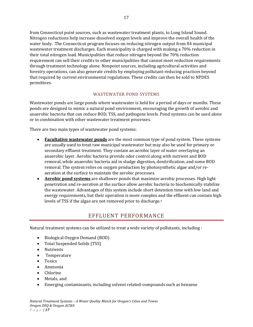from Connecticut point sources, such as wastewater treatment plants, to Long Island Sound. Nitrogen reductions help increase dissolved oxygen levels and improve the overall health of the water body. The Connecticut program focuses on reducing nitrogen output from 84 municipal wastewater treatment discharges. Each municipality is charged with making a 70% reduction in their total nitrogen load. Municipalities that reduce nitrogen beyond the 70% reduction requirement can sell their credits to other municipalities that cannot meet reduction requirements through treatment technology alone. Nonpoint sources, including agricultural activities and forestry operations, can also generate credits by employing pollutant‐reducing practices beyond that required by current environmental regulations. These credits can then be sold to NPDES permittees.

#### WASTEWATER POND SYSTEMS

Wastewater ponds are large ponds where wastewater is held for a period of days or months. These ponds are designed to mimic a natural pond environment, encouraging the growth of aerobic and anaerobic bacteria that can reduce BOD, TSS, and pathogens levels. Pond systems can be used alone or in combination with other wastewater treatment processes.

There are two main types of wastewater pond systems:

- **Facultative wastewater ponds** are the most common type of pond system. These systems are usually used to treat raw municipal wastewater but may also be used for primary or secondary effluent treatment. They contain an aerobic layer of water overlaying an anaerobic layer. Aerobic bacteria provide odor control along with nutrient and BOD removal, while anaerobic bacteria aid in sludge digestion, denitrification, and some BOD removal. The system relies on oxygen production by photosynthetic algae and/or re‐ aeration at the surface to maintain the aerobic processes.
- **Aerobic pond systems** are shallower ponds that maximize aerobic processes. High light penetration and re‐aeration at the surface allow aerobic bacteria to biochemically stabilize the wastewater. Advantages of this system include short detention time with low land and energy requirements, but their operation is more complex and the effluent can contain high levels of TSS if the algae are not removed prior to discharge.x

# EFFLUENT PERFORMANCE

Natural treatment systems can be utilized to treat a wide variety of pollutants, including :

- Biological Oxygen Demand (BOD)
- Total Suspended Solids (TSS)
- Nutrients
- Temperature
- Toxics
- Ammonia
- Chlorine
- Metals, and
- Emerging contaminants, including solvent related‐compounds such as benzene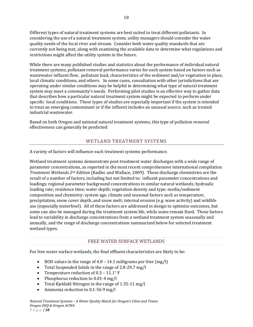Different types of natural treatment systems are best suited to treat different pollutants. In considering the use of a natural treatment system, utility managers should consider the water quality needs of the local river and stream. Consider both water quality standards that are currently not being met, along with examining the available data to determine what regulations and restrictions might affect the utility system in the future.

While there are many published studies and statistics about the performance of individual natural treatment systems, pollutant removal performance varies for each system based on factors such as wastewater influent flow, pollutant load, characteristics of the sediment and/or vegetation in place, local climatic conditions, and others. In some cases, consultation with other jurisdictions that are operating under similar conditions may be helpful in determining what type of natural treatment system may meet a community's needs. Performing pilot studies is an effective way to gather data that describes how a particular natural treatment system might be expected to perform under specific local conditions. These types of studies are especially important if the system is intended to treat an emerging contaminant or if the influent includes an unusual source, such as treated industrial wastewater.

Based on both Oregon and national natural treatment systems, this type of pollution removal effectiveness can generally be predicted:

## WETLAND TREATMENT SYSTEMS

A variety of factors will influence each treatment systems performance.

Wetland treatment systems demonstrate post-treatment water discharges with a wide range of parameter concentrations, as reported in the most recent comprehensive international compilation *Treatment Wetlands 2nd Edition* (Kadlec and Wallace, 2009). These discharge chemistries are the result of a number of factors, including but not limited to: influent parameter concentrations and loadings; regional parameter background concentrations in similar natural wetlands; hydraulic loading rate; residence time; water depth; vegetation density and type; media/sediment composition and chemistry; system age; climate and seasonal factors such as temperature, precipitation, snow cover depth, and snow melt; internal erosion (e.g. wave activity) and wildlife use (especially waterfowl). All of these factors are addressed in design to optimize outcomes, but some can also be managed during the treatment system life, while some remain fixed. These factors lead to variability in discharge concentrations from a wetland treatment system seasonally and annually, and the range of discharge concentrations summarized below for selected treatment wetland types.

#### FREE WATER SURFACE WETLANDS

For free water surface wetlands, the final effluent characteristics are likely to be:

- $\bullet$  BOD values in the range of 4.8 14.1 milligrams per liter (mg/l)
- Total Suspended Solids in the range of 2.8‐29.7 mg/l
- Temperature reduction of  $0.3 11.1$ °F
- Phosphorus reduction to 0.01-4 mg/l
- Total Kjeldahl Nitrogen in the range of 1.35‐11 mg/l
- Ammonia reduction to 0.1-56.9 mg/l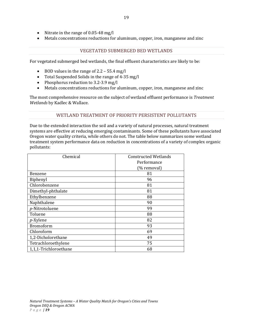- Nitrate in the range of  $0.05-48$  mg/l
- Metals concentrations reductions for aluminum, copper, iron, manganese and zinc

#### VEGETATED SUBMERGED BED WETLANDS

For vegetated submerged bed wetlands, the final effluent characteristics are likely to be:

- $\bullet$  BOD values in the range of 2.2 55.4 mg/l
- Total Suspended Solids in the range of 4‐35 mg/l
- Phosphorus reduction to 3.2-3.9 mg/l
- Metals concentrations reductions for aluminum, copper, iron, manganese and zinc

The most comprehensive resource on the subject of wetland effluent performance is *Treatment Wetlands* by Kadlec & Wallace.

#### WETLAND TREATMENT OF PRIORITY PERSISTENT POLLUTANTS

Due to the extended interaction the soil and a variety of natural processes, natural treatment systems are effective at reducing emerging contaminants. Some of these pollutants have associated Oregon water quality criteria, while others do not. The table below summarizes some wetland treatment system performance data on reduction in concentrations of a variety of complex organic pollutants:

| Chemical              | <b>Constructed Wetlands</b> |
|-----------------------|-----------------------------|
|                       | Performance                 |
|                       | (% removal)                 |
| Benzene               | 81                          |
| Biphenyl              | 96                          |
| Chlorobenzene         | 81                          |
| Dimethyl-phthalate    | 81                          |
| Ethylbenzene          | 88                          |
| Naphthalene           | 90                          |
| p-Nitrotoluene        | 99                          |
| Toluene               | 88                          |
| $p$ -Xylene           | 82                          |
| Bromoform             | 93                          |
| Chloroform            | 69                          |
| 1,2-Dicholorethane    | 49                          |
| Tetrachloroethylene   | 75                          |
| 1,1,1-Trichloroethane | 68                          |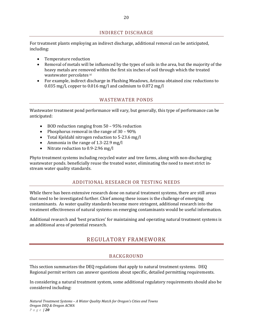#### INDIRECT DISCHARGE

For treatment plants employing an indirect discharge, additional removal can be anticipated, including:

- Temperature reduction
- Removal of metals will be influenced by the types of soils in the area, but the majority of the heavy metals are removed within the first six inches of soil through which the treated wastewater percolates xi
- For example, indirect discharge in Flushing Meadows, Arizona obtained zinc reductions to 0.035 mg/l, copper to 0.016 mg/l and cadmium to 0.072 mg/l

#### WASTEWATER PONDS

Wastewater treatment pond performance will vary, but generally, this type of performance can be anticipated:

- BOD reduction ranging from 50 95% reduction
- Phosphorus removal in the range of  $30 90\%$
- Total Kjeldahl nitrogen reduction to 5‐23.6 mg/l
- Ammonia in the range of 1.3-22.9 mg/l
- Nitrate reduction to 0.9-2.96 mg/l

Phyto treatment systems including recycled water and tree farms, along with non‐discharging wastewater ponds. beneficially reuse the treated water, eliminating the need to meet strict in‐ stream water quality standards.

#### ADDITIONAL RESEARCH OR TESTING NEEDS

While there has been extensive research done on natural treatment systems, there are still areas that need to be investigated further. Chief among these issues is the challenge of emerging contaminants. As water quality standards become more stringent, additional research into the treatment effectiveness of natural systems on emerging contaminants would be useful information.

Additional research and 'best practices' for maintaining and operating natural treatment systems is an additional area of potential research.

# REGULATORY FRAMEWORK

#### BACKGROUND

This section summarizes the DEQ regulations that apply to natural treatment systems. DEQ Regional permit writers can answer questions about specific, detailed permitting requirements.

In considering a natural treatment system, some additional regulatory requirements should also be considered including: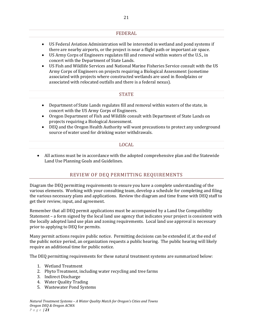#### FEDERAL

- US Federal Aviation Administration will be interested in wetland and pond systems if there are nearby airports, or the project is near a flight path or important air space.
- US Army Corps of Engineers regulates fill and removal within waters of the U.S., in concert with the Department of State Lands.
- US Fish and Wildlife Services and National Marine Fisheries Service consult with the US Army Corps of Engineers on projects requiring a Biological Assessment (sometime associated with projects where constructed wetlands are used in floodplains or associated with relocated outfalls and there is a federal nexus).

#### **STATE**

- Department of State Lands regulates fill and removal within waters of the state, in concert with the US Army Corps of Engineers.
- Oregon Department of Fish and Wildlife consult with Department of State Lands on projects requiring a Biological Assessment.
- DEQ and the Oregon Health Authority will want precautions to protect any underground source of water used for drinking water withdrawals.

#### LOCAL

 All actions must be in accordance with the adopted comprehensive plan and the Statewide Land Use Planning Goals and Guidelines.

#### REVIEW OF DEQ PERMITTING REQUIREMENTS

Diagram the DEQ permitting requirements to ensure you have a complete understanding of the various elements. Working with your consulting team, develop a schedule for completing and filing the various necessary plans and applications. Review the diagram and time frame with DEQ staff to get their review, input, and agreement.

Remember that all DEQ permit applications must be accompanied by a Land Use Compatibility Statement – a form signed by the local land use agency that indicates your project is consistent with the locally adopted land use plan and zoning requirements. Local land use approval is necessary prior to applying to DEQ for permits.

Many permit actions require public notice. Permitting decisions can be extended if, at the end of the public notice period, an organization requests a public hearing. The public hearing will likely require an additional time for public notice.

The DEQ permitting requirements for these natural treatment systems are summarized below:

- 1. Wetland Treatment
- 2. Phyto Treatment, including water recycling and tree farms
- 3. Indirect Discharge
- 4. Water Quality Trading
- 5. Wastewater Pond Systems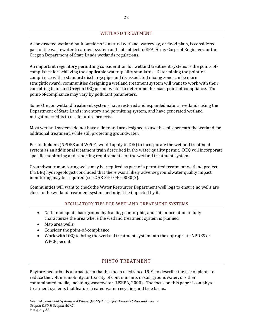## WETLAND TREATMENT

A constructed wetland built outside of a natural wetland, waterway, or flood plain, is considered part of the wastewater treatment system and not subject to EPA, Army Corps of Engineers, or the Oregon Department of State Lands wetlands regulations.

An important regulatory permitting consideration for wetland treatment systems is the point‐ of‐ compliance for achieving the applicable water quality standards. Determining the point‐of‐ compliance with a standard discharge pipe and its associated mixing zone can be more straightforward; communities designing a wetland treatment system will want to work with their consulting team and Oregon DEQ permit writer to determine the exact point‐of‐compliance. The point‐of‐compliance may vary by pollutant parameters.

Some Oregon wetland treatment systems have restored and expanded natural wetlands using the Department of State Lands inventory and permitting system, and have generated wetland mitigation credits to use in future projects.

Most wetland systems do not have a liner and are designed to use the soils beneath the wetland for additional treatment, while still protecting groundwater.

Permit holders (NPDES and WPCF) would apply to DEQ to incorporate the wetland treatment system as an additional treatment train described in the water quality permit. DEQ will incorporate specific monitoring and reporting requirements for the wetland treatment system.

Groundwater monitoring wells may be required as part of a permitted treatment wetland project. If a DEQ hydrogeologist concluded that there was a likely adverse groundwater quality impact, monitoring may be required (see OAR 340‐040‐0030(2).

Communities will want to check the Water Resources Department well logs to ensure no wells are close to the wetland treatment system and might be impacted by it.

#### REGULATORY TIPS FOR WETLAND TREATMENT SYSTEMS

- Gather adequate background hydraulic, geomorphic, and soil information to fully characterize the area where the wetland treatment system is planned
- Map area wells
- Consider the point-of-compliance
- Work with DEQ to bring the wetland treatment system into the appropriate NPDES or WPCF permit

#### PHYTO TREATMENT

Phytoremediation is a broad term that has been used since 1991 to describe the use of plants to reduce the volume, mobility, or toxicity of contaminants in soil, groundwater, or other contaminated media, including wastewater (USEPA, 2000). The focus on this paper is on phyto treatment systems that feature treated water recycling and tree farms.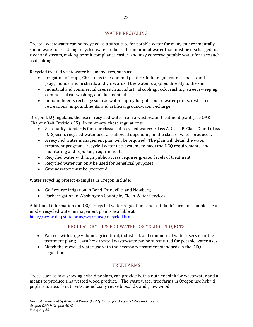# WATER RECYCLING

Treated wastewater can be recycled as a substitute for potable water for many environmentally‐ sound water uses. Using recycled water reduces the amount of water that must be discharged to a river and stream, making permit compliance easier, and may conserve potable water for uses such as drinking.

Recycled treated wastewater has many uses, such as:

- Irrigation of crops, Christmas trees, animal pasture, fodder, golf courses, parks and playgrounds, and orchards and vineyards if the water is applied directly to the soil
- Industrial and commercial uses such as industrial cooling, rock crushing, street sweeping, commercial car washing, and dust control
- Impoundments recharge such as water supply for golf course water ponds, restricted recreational impoundments, and artificial groundwater recharge

Oregon DEQ regulates the use of recycled water from a wastewater treatment plant (see OAR Chapter 340, Division 55). In summary, these regulations:

- Set quality standards for four classes of recycled water: Class A, Class B, Class C, and Class D. Specific recycled water uses are allowed depending on the class of water produced.
- A recycled water management plan will be required. The plan will detail the water treatment programs, recycled water use, systems to meet the DEQ requirements, and monitoring and reporting requirements.
- Recycled water with high public access requires greater levels of treatment.
- Recycled water can only be used for beneficial purposes.
- Groundwater must be protected.

Water recycling project examples in Oregon include:

- Golf course irrigation in Bend, Prineville, and Newberg
- Park irrigation in Washington County by Clean Water Services

Additional information on DEQ's recycled water regulations and a 'fillable' form for completing a model recycled water management plan is available at http://www.deq.state.or.us/wq/reuse/recycled.htm

#### REGULATORY TIPS FOR WATER RECYCLING PROJECTS

- Partner with large volume agricultural, industrial, and commercial water users near the treatment plant; learn how treated wastewater can be substituted for potable water uses
- Match the recycled water use with the necessary treatment standards in the DEQ regulations

#### TREE FARMS

Trees, such as fast‐growing hybrid poplars, can provide both a nutrient sink for wastewater and a means to produce a harvested wood product. The wastewater tree farms in Oregon use hybrid poplars to absorb nutrients, beneficially reuse biosolids, and grow wood.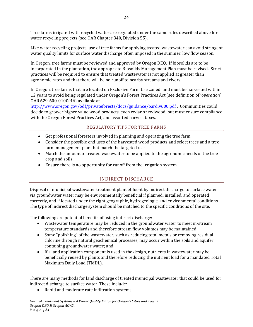Tree farms irrigated with recycled water are regulated under the same rules described above for water recycling projects (see OAR Chapter 340, Division 55).

Like water recycling projects, use of tree farms for applying treated wastewater can avoid stringent water quality limits for surface water discharge often imposed in the summer, low flow season.

In Oregon, tree farms must be reviewed and approved by Oregon DEQ. If biosolids are to be incorporated in the plantation, the appropriate Biosolids Management Plan must be revised. Strict practices will be required to ensure that treated wastewater is not applied at greater than agronomic rates and that there will be no runoff to nearby streams and rivers.

In Oregon, tree farms that are located on Exclusive Farm Use zoned land must be harvested within 12 years to avoid being regulated under Oregon's Forest Practices Act (see definition of '*operation*' OAR 629‐600‐0100(46) available at

http://www.oregon.gov/odf/privateforests/docs/guidance/oardiv600.pdf . Communities could decide to grower higher value wood products, even cedar or redwood, but must ensure compliance with the Oregon Forest Practices Act, and assorted harvest taxes.

# REGULATORY TIPS FOR TREE FARMS

- Get professional foresters involved in planning and operating the tree farm
- Consider the possible end uses of the harvested wood products and select trees and a tree farm management plan that match the targeted use
- Match the amount of treated wastewater to be applied to the agronomic needs of the tree crop and soils
- Ensure there is no opportunity for runoff from the irrigation system

# INDIRECT DISCHARGE

Disposal of municipal wastewater treatment plant effluent by indirect discharge to surface water via groundwater water may be environmentally beneficial if planned, installed, and operated correctly, and if located under the right geographic, hydrogeologic, and environmental conditions. The type of indirect discharge system should be matched to the specific conditions of the site.

The following are potential benefits of using indirect discharge:

- Wastewater temperature may be reduced in the groundwater water to meet in-stream temperature standards and therefore stream flow volumes may be maintained;
- Some "polishing" of the wastewater, such as reducing total metals or removing residual chlorine through natural geochemical processes, may occur within the soils and aquifer containing groundwater water; and
- If a land application component is used in the design, nutrients in wastewater may be beneficially reused by plants and therefore reducing the nutrient load for a mandated Total Maximum Daily Load (TMDL).

There are many methods for land discharge of treated municipal wastewater that could be used for indirect discharge to surface water. These include:

• Rapid and moderate rate infiltration systems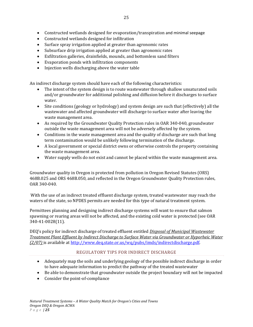- Constructed wetlands designed for evaporation/transpiration and minimal seepage
- Constructed wetlands designed for infiltration
- Surface spray irrigation applied at greater than agronomic rates
- Subsurface drip irrigation applied at greater than agronomic rates
- Exfiltration galleries, drainfields, mounds, and bottomless sand filters
- Evaporation ponds with infiltration components
- Injection wells discharging above the water table

An indirect discharge system should have each of the following characteristics:

- The intent of the system design is to route wastewater through shallow unsaturated soils and/or groundwater for additional polishing and diffusion before it discharges to surface water.
- Site conditions (geology or hydrology) and system design are such that (effectively) all the wastewater and affected groundwater will discharge to surface water after leaving the waste management area.
- As required by the Groundwater Quality Protection rules in OAR 340‐040, groundwater outside the waste management area will not be adversely affected by the system.
- Conditions in the waste management area and the quality of discharge are such that long term contamination would be unlikely following termination of the discharge.
- A local government or special district owns or otherwise controls the property containing the waste management area.
- Water supply wells do not exist and cannot be placed within the waste management area.

Groundwater quality in Oregon is protected from pollution in Oregon Revised Statutes (ORS) 468B.025 and ORS 468B.050, and reflected in the Oregon Groundwater Quality Protection rules, OAR 340‐040.

 With the use of an indirect treated effluent discharge system, treated wastewater may reach the waters of the state, so NPDES permits are needed for this type of natural treatment system.

Permittees planning and designing indirect discharge systems will want to ensure that salmon spawning or rearing areas will not be affected, and the existing cold water is protected (see OAR 340‐41‐0028(11).

DEQ's policy for indirect discharge of treated effluent entitled *Disposal of Municipal Wastewater Treatment Plant Effluent by Indirect Discharge to Surface Water via Groundwater or Hyporheic Water (2/07)* is available at http://www.deq.state.or.us/wq/pubs/imds/indirectdischarge.pdf.

#### REGULATORY TIPS FOR INDIRECT DISCHARGE

- Adequately map the soils and underlying geology of the possible indirect discharge in order to have adequate information to predict the pathway of the treated wastewater
- Be able to demonstrate that groundwater outside the project boundary will not be impacted
- Consider the point-of-compliance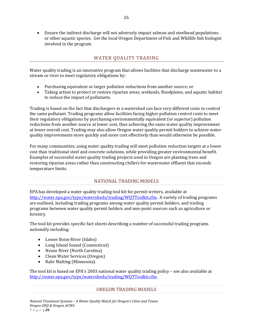Ensure the indirect discharge will not adversely impact salmon and steelhead populations or other aquatic species. Get the local Oregon Department of Fish and Wildlife fish biologist involved in the program.

# WATER QUALITY TRADING

Water quality trading is an innovative program that allows facilities that discharge wastewater to a stream or river to meet regulatory obligations by:

- Purchasing equivalent or larger pollution reductions from another source; or
- Taking action to protect or restore riparian areas, wetlands, floodplains, and aquatic habitat to reduce the impact of pollutants.

Trading is based on the fact that dischargers in a watershed can face very different costs to control the same pollutant. Trading programs allow facilities facing higher pollution control costs to meet their regulatory obligations by purchasing environmentally equivalent (or superior) pollution reductions from another source at lower cost, thus achieving the same water quality improvement at lower overall cost. Trading may also allow Oregon water quality permit holders to achieve water quality improvements more quickly and more cost effectively than would otherwise be possible.

For many communities, using water quality trading will meet pollution reduction targets at a lower cost than traditional steel and concrete solutions, while providing greater environmental benefit. Examples of successful water quality trading projects used in Oregon are planting trees and restoring riparian areas rather than constructing chillers for wastewater effluent that exceeds temperature limits.

# NATIONAL TRADING MODELS

EPA has developed a water quality trading tool kit for permit writers, available at http://water.epa.gov/type/watersheds/trading/WQTToolkit.cfm. A variety of trading programs are outlined, including trading programs among water quality permit holders, and trading programs between water quality permit holders and non‐point sources such as agriculture or forestry.

The tool kit provides specific fact sheets describing a number of successful trading programs nationally including:

- Lower Boise River (Idaho)
- Long Island Sound (Connecticut)
- Neuse River (North Carolina)
- Clean Water Services (Oregon)
- Rahr Malting (Minnesota)

The tool kit is based on EPA's 2003 national water quality trading policy – see also available at http://water.epa.gov/type/watersheds/trading/WQTToolkit.cfm.

#### OREGON TRADING MODELS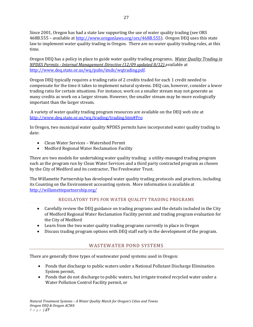Since 2001, Oregon has had a state law supporting the use of water quality trading (see ORS 468B.555 – available at http://www.oregonlaws.org/ors/468B.555). Oregon DEQ uses this state law to implement water quality trading in Oregon. There are no water quality trading rules, at this time.

Oregon DEQ has a policy in place to guide water quality trading programs, *Water Quality Trading in NPDES Permits Internal Management Directive (12/09 updated 8/12)* available at http://www.deq.state.or.us/wq/pubs/imds/wqtrading.pdf.

Oregon DEQ typically requires a trading ratio of 2 credits traded for each 1 credit needed to compensate for the time it takes to implement natural systems. DEQ can, however, consider a lower trading ratio for certain situations. For instance, work on a smaller stream may not generate as many credits as work on a larger stream. However, the smaller stream may be more ecologically important than the larger stream.

A variety of water quality trading program resources are available on the DEQ web site at http://www.deq.state.or.us/wq/trading/trading.htm#Pro

In Oregon, two municipal water quality NPDES permits have incorporated water quality trading to date:

- Clean Water Services Watershed Permit
- Medford Regional Water Reclamation Facility

There are two models for undertaking water quality trading: a utility-managed trading program such as the program run by Clean Water Services and a third party contracted program as chosen by the City of Medford and its contractor, The Freshwater Trust.

The Willamette Partnership has developed water quality trading protocols and practices, including its Counting on the Environment accounting system. More information is available at http://willamettepartnership.org/

#### REGULATORY TIPS FOR WATER QUALITY TRADING PROGRAMS

- Carefully review the DEQ guidance on trading programs and the details included in the City of Medford Regional Water Reclamation Facility permit and trading program evaluation for the City of Medford
- Learn from the two water quality trading programs currently in place in Oregon
- Discuss trading program options with DEQ staff early in the development of the program.

#### WASTEWATER POND SYSTEMS

There are generally three types of wastewater pond systems used in Oregon:

- Ponds that discharge to public waters under a National Pollutant Discharge Elimination System permit,
- Ponds that do not discharge to public waters, but irrigate treated recycled water under a Water Pollution Control Facility permit, or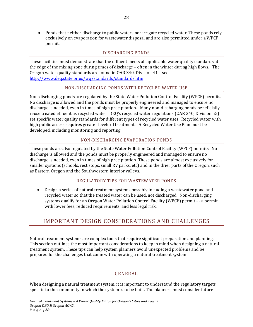• Ponds that neither discharge to public waters nor irrigate recycled water. These ponds rely exclusively on evaporation for wastewater disposal and are also permitted under a WPCF permit.

#### DISCHARGING PONDS

These facilities must demonstrate that the effluent meets all applicable water quality standards at the edge of the mixing zone during times of discharge – often in the winter during high flows. The Oregon water quality standards are found in OAR 340, Division 41 – see http://www.deq.state.or.us/wq/standards/standards.htm

#### NON‐DISCHARGING PONDS WITH RECYCLED WATER USE

Non-discharging ponds are regulated by the State Water Pollution Control Facility (WPCF) permits. No discharge is allowed and the ponds must be properly engineered and managed to ensure no discharge is needed, even in times of high precipitation. Many non‐discharging ponds beneficially reuse treated effluent as recycled water. DEQ's recycled water regulations (OAR 340, Division 55) set specific water quality standards for different types of recycled water uses. Recycled water with high public access requires greater levels of treatment. A Recycled Water Use Plan must be developed, including monitoring and reporting.

#### NON‐DISCHARGING EVAPORATION PONDS

These ponds are also regulated by the State Water Pollution Control Facility (WPCF) permits. No discharge is allowed and the ponds must be properly engineered and managed to ensure no discharge is needed, even in times of high precipitation. These ponds are almost exclusively for smaller systems (schools, rest stops, small RV parks, etc) and in the drier parts of the Oregon, such as Eastern Oregon and the Southwestern interior valleys.

#### REGULATORY TIPS FOR WASTEWATER PONDS

 Design a series of natural treatment systems possibly including a wastewater pond and recycled water so that the treated water can be used, not discharged. Non‐discharging systems qualify for an Oregon Water Pollution Control Facility (WPCF) permit ‐ ‐ a permit with lower fees, reduced requirements, and less legal risk.

# IMPORTANT DESIGN CONSIDERATIONS AND CHALLENGES

Natural treatment systems are complex tools that require significant preparation and planning. This section outlines the most important considerations to keep in mind when designing a natural treatment system. These tips can help system planners avoid unexpected problems and be prepared for the challenges that come with operating a natural treatment system.

#### GENERAL

When designing a natural treatment system, it is important to understand the regulatory targets specific to the community in which the system is to be built. The planners must consider future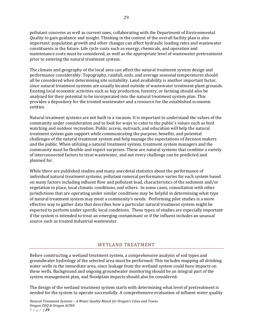pollutant concerns as well as current ones, collaborating with the Department of Environmental Quality to gain guidance and insight. Thinking in the context of the overall facility plan is also important: population growth and other changes can affect hydraulic loading rates and wastewater constituents in the future. Life cycle costs such as energy, chemicals, and operation and maintenance costs must be considered, as well as the appropriate level of wastewater pretreatment prior to entering the natural treatment system.

The climate and geography of the local area can affect the natural treatment system design and performance considerably. Topography, rainfall, soils, and average seasonal temperatures should all be considered when determining site suitability. Land availability is another important factor, since natural treatment systems are usually located outside of wastewater treatment plant grounds. Existing local economic activities such as hay production, forestry, or farming should also be analyzed for their potential to be incorporated into the natural treatment system plan. This provides a depository for the treated wastewater and a resource for the established economic entities.

Natural treatment systems are not built in a vacuum. It is important to understand the values of the community under consideration and to look for ways to cater to the public's values such as bird watching and outdoor recreation. Public access, outreach, and education will help the natural treatment system gain support while communicating the purpose, benefits, and potential challenges of the natural treatment system and help manage the expectations of decision makers and the public. When utilizing a natural treatment system, treatment system managers and the community must be flexible and expect surprises. These are natural systems that combine a variety of interconnected factors to treat wastewater, and not every challenge can be predicted and planned for.

While there are published studies and many anecdotal statistics about the performance of individual natural treatment systems, pollutant removal performance varies for each system based on many factors including influent flow and pollutant load, characteristics of the sediment and/or vegetation in place, local climatic conditions, and others. In some cases, consultation with other jurisdictions that are operating under similar conditions may be helpful in determining what type of natural treatment system may meet a community's needs. Performing pilot studies is a more effective way to gather data that describes how a particular natural treatment system might be expected to perform under specific local conditions. These types of studies are especially important if the system is intended to treat an emerging contaminant or if the influent includes an unusual source such as treated industrial wastewater.

#### WETLAND TREATMENT

Before constructing a wetland treatment system, a comprehensive analysis of soil types and groundwater hydrology of the selected area must be performed. This includes mapping all drinking water wells in the immediate area, since leakage from the wetland system could have impacts on these wells. Background and ongoing groundwater monitoring should be an integral part of the system management plan, and floodplain impacts should also be considered.

The design of the wetland treatment system starts with determining what level of pretreatment is needed for the system to operate successfully. A comprehensive evaluation of influent water quality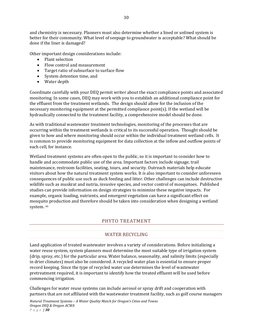and chemistry is necessary. Planners must also determine whether a lined or unlined system is better for their community. What level of seepage to groundwater is acceptable? What should be done if the liner is damaged?

Other important design considerations include:

- Plant selection
- Flow control and measurement
- Target ratio of subsurface to surface flow
- System detention time, and
- Water depth

Coordinate carefully with your DEQ permit writer about the exact compliance points and associated monitoring. In some cases, DEQ may work with you to establish an additional compliance point for the effluent from the treatment wetlands. The design should allow for the inclusion of the necessary monitoring equipment at the permitted compliance point(s). If the wetland will be hydraulically connected to the treatment facility, a comprehensive model should be done.

As with traditional wastewater treatment technologies, monitoring of the processes that are occurring within the treatment wetlands is critical to its successful operation. Thought should be given to how and where monitoring should occur within the individual treatment wetland cells. It is common to provide monitoring equipment for data collection at the inflow and outflow points of each cell, for instance.

Wetland treatment systems are often open to the public, so it is important to consider how to handle and accommodate public use of the area. Important factors include signage, trail maintenance, restroom facilities, seating, tours, and security. Outreach materials help educate visitors about how the natural treatment system works. It is also important to consider unforeseen consequences of public use such as duck feeding and litter. Other challenges can include destructive wildlife such as muskrat and nutria, invasive species, and vector control of mosquitoes. Published studies can provide information on design strategies to minimize these negative impacts. For example, organic loading, nutrients, and emergent vegetation can have a significant effect on mosquito production and therefore should be taken into consideration when designing a wetland system. xii

#### PHYTO TREATMENT

#### WATER RECYCLING

Land application of treated wastewater involves a variety of considerations. Before initializing a water reuse system, system planners must determine the most suitable type of irrigation system (drip, spray, etc.) for the particular area. Water balance, seasonality, and salinity limits (especially in drier climates) must also be considered. A recycled water plan is essential to ensure proper record keeping. Since the type of recycled water use determines the level of wastewater pretreatment required, it is important to identify how the treated effluent will be used before commencing irrigation.

Challenges for water reuse systems can include aerosol or spray drift and cooperation with partners that are not affiliated with the wastewater treatment facility, such as golf course managers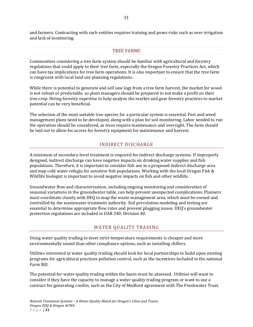and farmers. Contracting with such entities requires training and poses risks such as over‐irrigation and lack of monitoring.

#### TREE FARMS

Communities considering a tree farm system should be familiar with agricultural and forestry regulations that could apply to their tree farm, especially the Oregon Forestry Practices Act, which can have tax implications for tree farm operations. It is also important to ensure that the tree farm is congruent with local land use planning regulations.

While there is potential to generate and sell saw logs from a tree farm harvest, the market for wood is not robust or predictable, so plant managers should be prepared to not make a profit on their tree crop. Hiring forestry expertise to help analyze the market and gear forestry practices to market potential can be very beneficial.

The selection of the most suitable tree species for a particular system is essential. Pest and weed management plans need to be developed, along with a plan for soil monitoring. Labor needed to run the operation should be considered, as trees require maintenance and oversight. The farm should be laid out to allow for access for forestry equipment for maintenance and harvest.

## INDIRECT DISCHARGE

A minimum of secondary‐level treatment is required for indirect discharge systems. If improperly designed, indirect discharge can have negative impacts on drinking water supplies and fish populations. Therefore, it is important to consider fish use in a proposed indirect discharge area and map cold water refugia for sensitive fish populations. Working with the local Oregon Fish & Wildlife biologist is important to avoid negative impacts on fish and other wildlife.

Groundwater flow and characterization, including ongoing monitoring and consideration of seasonal variations in the groundwater table, can help prevent unexpected complications. Planners must coordinate closely with DEQ to map the waste management area, which must be owned and controlled by the wastewater treatment authority. Soil percolation modeling and testing are essential to determine appropriate flow rates and prevent plugging issues. DEQ's groundwater protection regulations are included in OAR 340, Division 40.

#### WATER QUALITY TRADING

Using water quality trading to meet strict temperature requirements is cheaper and more environmentally sound than other compliance options, such as installing chillers.

Utilities interested in water quality trading should look for local partnerships to build upon existing programs for agricultural practices pollution control, such as the incentives included in the national Farm Bill.

The potential for water quality trading within the basin must be assessed. Utilities will want to consider if they have the capacity to manage a water quality trading program or want to use a contract for generating credits, such as the City of Medford agreement with The Freshwater Trust.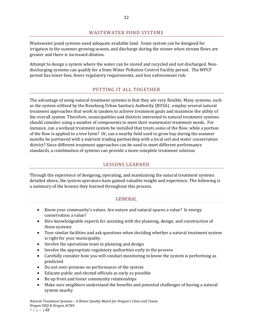#### WASTEWATER POND SYSTEMS

Wastewater pond systems need adequate available land. Some system can be designed for irrigation in the summer growing season, and discharge during the winter when stream flows are greater and there is increased dilution.

Attempt to design a system where the water can be stored and recycled and not discharged. Non‐ discharging systems can qualify for a State Water Pollution Control Facility permit. The WPCF permit has lower fees, fewer regulatory requirements, and less enforcement risk.

## PUTTING IT ALL TOGETHER

The advantage of using natural treatment systems is that they are very flexible. Many systems, such as the system utilized by the Roseburg Urban Sanitary Authority (RUSA) , employ several natural treatment approaches that work in tandem to achieve treatment goals and maximize the utility of the overall system. Therefore, municipalities and districts interested in natural treatment systems should consider using a number of components to meet their wastewater treatment needs. For instance, can a wetland treatment system be installed that treats some of the flow, while a portion of the flow is applied to a tree farm? Or, can a nearby field used to grow hay during the summer months be partnered with a nutrient trading partnership with a local soil and water conservation district? Since different treatment approaches can be used to meet different performance standards, a combination of systems can provide a more complete treatment solution.

#### LESSONS LEARNED

Through the experience of designing, operating, and maintaining the natural treatment systems detailed above, the system operators have gained valuable insight and experience. The following is a summary of the lessons they learned throughout this process.

#### GENERAL

- Know your community's values. Are nature and natural spaces a value? Is energy conservation a value?
- Hire knowledgeable experts for assisting with the planning, design, and construction of these systems
- Tour similar facilities and ask questions when deciding whether a natural treatment system is right for your municipality
- Involve the operations team in planning and design
- Involve the appropriate regulatory authorities early in the process
- Carefully consider how you will conduct monitoring to know the system is performing as predicted
- Do not over-promise on performance of the system
- Educate public and elected officials as early as possible
- Be up front and foster community relationships
- Make sure neighbors understand the benefits and potential challenges of having a natural system nearby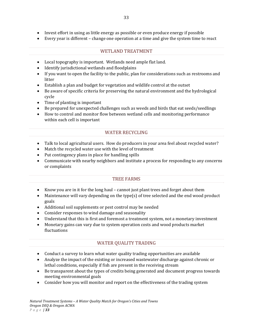- Invest effort in using as little energy as possible or even produce energy if possible
- Every year is different change one operation at a time and give the system time to react

#### WETLAND TREATMENT

- Local topography is important. Wetlands need ample flat land.
- Identify jurisdictional wetlands and floodplains
- If you want to open the facility to the public, plan for considerations such as restrooms and litter
- Establish a plan and budget for vegetation and wildlife control at the outset
- Be aware of specific criteria for preserving the natural environment and the hydrological cycle
- Time of planting is important
- Be prepared for unexpected challenges such as weeds and birds that eat seeds/seedlings
- How to control and monitor flow between wetland cells and monitoring performance within each cell is important

#### WATER RECYCLING

- Talk to local agricultural users. How do producers in your area feel about recycled water?
- Match the recycled water use with the level of treatment
- Put contingency plans in place for handling spills
- Communicate with nearby neighbors and institute a process for responding to any concerns or complaints

#### TREE FARMS

- Know you are in it for the long haul cannot just plant trees and forget about them
- $\bullet$  Maintenance will vary depending on the type(s) of tree selected and the end wood product goals
- Additional soil supplements or pest control may be needed
- Consider responses to wind damage and seasonality
- Understand that this is first and foremost a treatment system, not a monetary investment
- Monetary gains can vary due to system operation costs and wood products market fluctuations

#### WATER QUALITY TRADING

- Conduct a survey to learn what water quality trading opportunities are available
- Analyze the impact of the existing or increased wastewater discharge against chronic or lethal conditions, especially if fish are present in the receiving stream
- Be transparent about the types of credits being generated and document progress towards meeting environmental goals
- Consider how you will monitor and report on the effectiveness of the trading system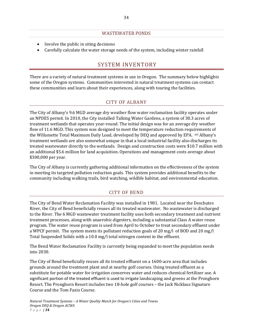#### WASTEWATER PONDS

- Involve the public in siting decisions
- Carefully calculate the water storage needs of the system, including winter rainfall

# SYSTEM INVENTORY

There are a variety of natural treatment systems in use in Oregon. The summary below highlights some of the Oregon systems. Communities interested in natural treatment systems can contact these communities and learn about their experiences, along with touring the facilities.

# CITY OF ALBANY

The City of Albany's 9.6 MGD average dry weather flow water reclamation facility operates under an NPDES permit. In 2010, the City installed Talking Water Gardens, a system of 38.3 acres of treatment wetlands that operates year‐round. The initial design was for an average dry weather flow of 11.6 MGD. This system was designed to meet the temperature reduction requirements of the Willamette Total Maximum Daily Load, developed by DEQ and approved by EPA. xiii Albany's treatment wetlands are also somewhat unique in that a local industrial facility also discharges its treated wastewater directly to the wetlands. Design and construction costs were \$10.7 million with an additional \$5.6 million for land acquisition. Operations and management costs average about \$300,000 per year.

The City of Albany is currently gathering additional information on the effectiveness of the system in meeting its targeted pollution reduction goals. This system provides additional benefits to the community including walking trails, bird watching, wildlife habitat, and environmental education.

#### CITY OF BEND

The City of Bend Water Reclamation Facility was installed in 1981. Located near the Deschutes River, the City of Bend beneficially reuses all its treated wastewater. No wastewater is discharged to the River. The 6 MGD wastewater treatment facility uses both secondary treatment and nutrient treatment processes, along with anaerobic digesters, including a substantial Class A water reuse program. The water reuse program is used from April to October to treat secondary effluent under a WPCF permit. The system meets its pollutant reduction goals of 20 mg/l of BOD and 20 mg/l Total Suspended Solids with a 10.0 mg/l total nitrogen content in the effluent.

The Bend Water Reclamation Facility is currently being expanded to meet the population needs into 2030.

The City of Bend beneficially reuses all its treated effluent on a 1600‐acre area that includes grounds around the treatment plant and at nearby golf courses. Using treated effluent as a substitute for potable water for irrigation conserves water and reduces chemical fertilizer use. A significant portion of the treated effluent is used to irrigate landscaping and greens at the Pronghorn Resort. The Pronghorn Resort includes two 18‐hole golf courses – the Jack Nicklaus Signature Course and the Tom Fazio Course.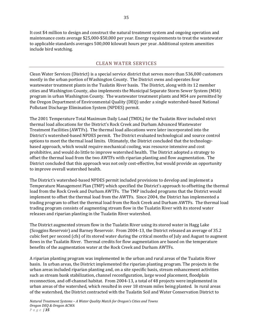It cost \$4 million to design and construct the natural treatment system and ongoing operation and maintenance costs average \$25,000‐\$50,000 per year. Energy requirements to treat the wastewater to applicable standards averages 500,000 kilowatt hours per year. Additional system amenities include bird watching.

## CLEAN WATER SERVICES

Clean Water Services (District) is a special service district that serves more than 536,000 customers mostly in the urban portion of Washington County. The District owns and operates four wastewater treatment plants in the Tualatin River basin. The District, along with its 12 member cities and Washington County, also implements the Municipal Separate Storm Sewer System (MS4) program in urban Washington County. The wastewater treatment plants and MS4 are permitted by the Oregon Department of Environmental Quality (DEQ) under a single watershed‐based National Pollutant Discharge Elimination System (NPDES) permit.

The 2001 Temperature Total Maximum Daily Load (TMDL) for the Tualatin River included strict thermal load allocations for the District's Rock Creek and Durham Advanced Wastewater Treatment Facilities (AWTFs). The thermal load allocations were later incorporated into the District's watershed‐based NPDES permit. The District evaluated technological and source control options to meet the thermal load limits. Ultimately, the District concluded that the technology‐ based approach, which would require mechanical cooling, was resource intensive and cost prohibitive, and would do little to improve watershed health. The District adopted a strategy to offset the thermal load from the two AWTFs with riparian planting and flow augmentation. The District concluded that this approach was not only cost-effective, but would provide an opportunity to improve overall watershed health.

The District's watershed‐based NPDES permit included provisions to develop and implement a Temperature Management Plan (TMP) which specified the District's approach to offsetting the thermal load from the Rock Creek and Durham AWTFs. The TMP included programs that the District would implement to offset the thermal load from the AWTFs. Since 2004, the District has implemented a trading program to offset the thermal load from the Rock Creek and Durham AWTFs. The thermal load trading program consists of augmenting stream flow in the Tualatin River with its stored water releases and riparian planting in the Tualatin River watershed.

The District augmented stream flow in the Tualatin River using its stored water in Hagg Lake (Scoggins Reservoir) and Barney Reservoir. From 2004‐13, the District released an average of 35.2 cubic feet per second (cfs) of its stored water during the critical months of July and August to augment flows in the Tualatin River. Thermal credits for flow augmentation are based on the temperature benefits of the augmentation water at the Rock Creek and Durham AWTFs.

A riparian planting program was implemented in the urban and rural areas of the Tualatin River basin. In urban areas, the District implemented the riparian planting program. The projects in the urban areas included riparian planting and, on a site specific basis, stream enhancement activities such as stream bank stabilization, channel reconfiguration, large wood placement, floodplain reconnection, and off‐channel habitat. From 2004‐13, a total of 48 projects were implemented in urban areas of the watershed, which resulted in over 18 stream miles being planted. In rural areas of the watershed, the District contracted with the Tualatin Soil and Water Conservation District to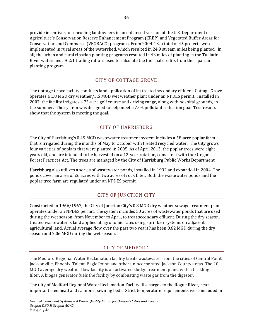provide incentives for enrolling landowners in an enhanced version of the U.S. Department of Agriculture's Conservation Reserve Enhancement Program (CREP) and Vegetated Buffer Areas for Conservation and Commerce (VEGBACC) programs. From 2004‐13, a total of 45 projects were implemented in rural areas of the watershed, which resulted in 24.9 stream miles being planted. In all, the urban and rural riparian planting programs resulted in 43 miles of planting in the Tualatin River watershed. A 2:1 trading ratio is used to calculate the thermal credits from the riparian planting program.

### CITY OF COTTAGE GROVE

The Cottage Grove facility conducts land application of its treated secondary effluent. Cottage Grove operates a 1.8 MGD dry weather/3.5 MGD wet weather plant under an NPDES permit. Installed in 2007, the facility irrigates a 75‐acre golf course and driving range, along with hospital grounds, in the summer. The system was designed to help meet a 75% pollutant reduction goal. Test results show that the system is meeting the goal.

## CITY OF HARRISBURG

The City of Harrisburg's 0.49 MGD wastewater treatment system includes a 58‐acre poplar farm that is irrigated during the months of May to October with treated recycled water. The City grows four varieties of poplars that were planted in 2005. As of April 2013, the poplar trees were eight years old, and are intended to be harvested on a 12‐year rotation, consistent with the Oregon Forest Practices Act. The trees are managed by the City of Harrisburg Public Works Department.

Harrisburg also utilizes a series of wastewater ponds, installed in 1992 and expanded in 2004. The ponds cover an area of 26 acres with two acres of rock filter. Both the wastewater ponds and the poplar tree farm are regulated under an NPDES permit.

#### CITY OF JUNCTION CITY

Constructed in 1966/1967, the City of Junction City's 0.8 MGD dry weather sewage treatment plant operates under an NPDES permit. The system includes 50 acres of wastewater ponds that are used during the wet season, from November to April, to treat secondary effluent. During the dry season, treated wastewater is land applied at agronomic rates using sprinkler systems on adjacent agricultural land. Actual average flow over the past two years has been 0.62 MGD during the dry season and 2.06 MGD during the wet season.

#### CITY OF MEDFORD

The Medford Regional Water Reclamation facility treats wastewater from the cities of Central Point, Jacksonville, Phoenix, Talent, Eagle Point, and other unincorporated Jackson County areas. The 20 MGD average dry weather flow facility is an activated sludge treatment plant, with a trickling filter. A biogas generator fuels the facility by combusting waste gas from the digester.

The City of Medford Regional Water Reclamation Facility discharges to the Rogue River, near important steelhead and salmon spawning beds. Strict temperature requirements were included in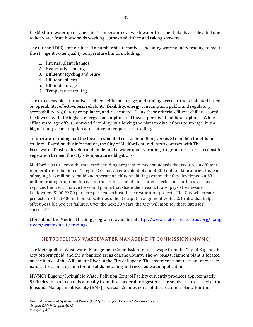the Medford water quality permit. Temperatures at wastewater treatment plants are elevated due to hot water from households washing clothes and dishes and taking showers.

The City and DEQ staff evaluated a number of alternatives, including water quality trading, to meet the stringent water quality temperature limits, including:

- 1. Internal plant changes
- 2. Evaporative cooling
- 3. Effluent recycling and reuse
- 4. Effluent chillers
- 5. Effluent storage
- 6. Temperature trading.

The three feasible alternatives, chillers, effluent storage, and trading, were further evaluated based on operability, effectiveness, reliability, flexibility, energy consumption, public and regulatory acceptability, regulatory compliance, and risk control. Using these criteria, effluent chillers scored the lowest, with the highest energy consumption and lowest perceived public acceptance. While effluent storage offers improved flexibility by allowing the plant to divert flows to storage, it is a higher energy consumption alternative to temperature trading.

Temperature trading had the lowest estimated cost at \$6 million, versus \$16 million for effluent chillers. Based on this information, the City of Medford entered into a contract with The Freshwater Trust to develop and implement a water quality trading program to restore streamside vegetation to meet the City's temperature obligations.

Medford also utilizes a thermal credit trading program to meet standards that require an effluent temperature reduction of 1 degree Celsius, an equivalent of about 300 million kilocalories. Instead of paying \$16 million to build and operate an effluent chilling system, the City developed an \$8 million trading program. It pays for the eradication of non‐native species in riparian areas and replaces them with native trees and plants that shade the stream. It also pays stream‐side landowners \$100‐\$300 per acre per year to host these restoration projects. The City will create projects to offset 600 million kilocalories of heat output in alignment with a 2:1 ratio that helps offset possible project failures. Over the next 20 years, the City will monitor these sites for success.xiv

More about the Medford trading program is available at http://www.thefreshwatertrust.org/fixingrivers/water‐quality‐trading/

# METROPOLITAN WASTEWATER MANAGEMENT COMMISSION (MWMC)

The Metropolitan Wastewater Management Commission treats sewage from the City of Eugene, the City of Springfield, and the urbanized areas of Lane County. The 49 MGD treatment plant is located on the banks of the Willamette River in the City of Eugene. The treatment plant uses an innovative natural treatment system for biosolids recycling and recycled water application.

MWMC's Eugene/Springfield Water Pollution Control Facility currently produces approximately 5,000 dry tons of biosolids annually from three anaerobic digesters. The solids are processed at the Biosolids Management Facility (BMF), located 5.5 miles north of the treatment plant. For the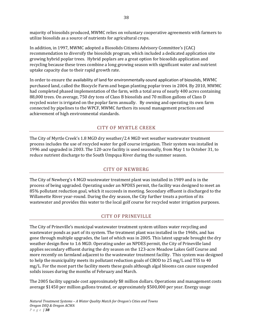majority of biosolids produced, MWMC relies on voluntary cooperative agreements with farmers to utilize biosolids as a source of nutrients for agricultural crops.

In addition, in 1997, MWMC adopted a Biosolids Citizens Advisory Committee's (CAC) recommendation to diversify the biosolids program, which included a dedicated application site growing hybrid poplar trees. Hybrid poplars are a great option for biosolids application and recycling because these trees combine a long growing season with significant water and nutrient uptake capacity due to their rapid growth rate.

In order to ensure the availability of land for environmentally‐sound application of biosolids, MWMC purchased land, called the Biocycle Farm and began planting poplar trees in 2004. By 2010, MWMC had completed phased implementation of the farm, with a total area of nearly 400 acres containing 88,000 trees. On average, 750 dry tons of Class B biosolids and 70 million gallons of Class D recycled water is irrigated on the poplar farm annually. By owning and operating its own farm connected by pipelines to the WPCF, MWMC furthers its sound management practices and achievement of high environmental standards.

## CITY OF MYRTLE CREEK

The City of Myrtle Creek's 1.8 MGD dry weather/2.4 MGD wet weather wastewater treatment process includes the use of recycled water for golf course irrigation. Their system was installed in 1996 and upgraded in 2003. The 120‐acre facility is used seasonally, from May 1 to October 31, to reduce nutrient discharge to the South Umpqua River during the summer season.

#### CITY OF NEWBERG

The City of Newberg's 4 MGD wastewater treatment plant was installed in 1989 and is in the process of being upgraded. Operating under an NPDES permit, the facility was designed to meet an 85% pollutant reduction goal, which it succeeds in meeting. Secondary effluent is discharged to the Willamette River year-round. During the dry season, the City further treats a portion of its wastewater and provides this water to the local golf course for recycled water irrigation purposes.

# CITY OF PRINEVILLE

The City of Prineville's municipal wastewater treatment system utilizes water recycling and wastewater ponds as part of its system. The treatment plant was installed in the 1960s, and has gone through multiple upgrades, the last of which was in 2005. This latest upgrade brought the dry weather design flow to 1.6 MGD. Operating under an NPDES permit, the City of Prineville land applies secondary effluent during the dry season on the 123‐acre Meadow Lakes Golf Course and more recently on farmland adjacent to the wastewater treatment facility. This system was designed to help the municipality meets its pollutant reduction goals of CBOD to 25 mg/L and TSS to 40 mg/L. For the most part the facility meets these goals although algal blooms can cause suspended solids issues during the months of February and March.

The 2005 facility upgrade cost approximately \$8 million dollars. Operations and management costs average \$1450 per million gallons treated, or approximately \$500,000 per year. Energy usage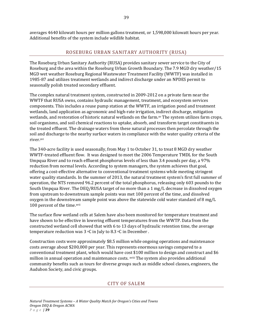averages 4640 kilowatt hours per million gallons treatment, or 1,598,000 kilowatt hours per year. Additional benefits of the system include wildlife habitat.

## ROSEBURG URBAN SANITARY AUTHORITY (RUSA)

The Roseburg Urban Sanitary Authority (RUSA) provides sanitary sewer service to the City of Roseburg and the area within the Roseburg Urban Growth Boundary. The 7.9 MGD dry weather/15 MGD wet weather Roseburg Regional Wastewater Treatment Facility (WWTF) was installed in 1985‐87 and utilizes treatment wetlands and indirect discharge under an NPDES permit to seasonally polish treated secondary effluent.

The complex natural treatment system, constructed in 2009‐2012 on a private farm near the WWTF that RUSA owns, contains hydraulic management, treatment, and ecosystem services components. This includes a reuse pump station at the WWTF, an irrigation pond and treatment wetlands, land application as agronomic and high‐rate irrigation, indirect discharge, mitigation wetlands, and restoration of historic natural wetlands on the farm.xv The system utilizes farm crops, soil organisms, and soil chemical reactions to uptake, absorb, and transform target constituents in the treated effluent. The drainage waters from these natural processes then percolate through the soil and discharge to the nearby surface waters in compliance with the water quality criteria of the river.xvi

The 340-acre facility is used seasonally, from May 1 to October 31, to treat 8 MGD dry weather WWTF-treated effluent flow. It was designed to meet the 2006 Temperature TMDL for the South Umpqua River and to reach effluent phosphorus levels of less than 3.4 pounds per day, a 97% reduction from normal levels. According to system managers, the system achieves that goal, offering a cost‐effective alternative to conventional treatment systems while meeting stringent water quality standards. In the summer of 2013, the natural treatment system's first full summer of operation, the NTS removed 96.2 percent of the total phosphorus, releasing only 603 pounds to the South Umpqua River. The DEQ/RUSA target of no more than a 1 mg/L decrease in dissolved oxygen from upstream to downstream sample points was met 100 percent of the time, and dissolved oxygen in the downstream sample point was above the statewide cold water standard of 8 mg/L 100 percent of the time.xvii

The surface flow wetland cells at Salem have also been monitored for temperature treatment and have shown to be effective in lowering effluent temperatures from the WWTP. Data from the constructed wetland cell showed that with 6 to 13 days of hydraulic retention time, the average temperature reduction was  $3 \text{°C}$  in July to  $8.3 \text{°C}$  in December.

Construction costs were approximately \$8.5 million while ongoing operations and maintenance costs average about \$200,000 per year. This represents enormous savings compared to a conventional treatment plant, which would have cost \$100 million to design and construct and \$6 million in annual operation and maintenance costs. xviii The system also provides additional community benefits such as tours for diverse groups such as middle school classes, engineers, the Audubon Society, and civic groups.

#### CITY OF SALEM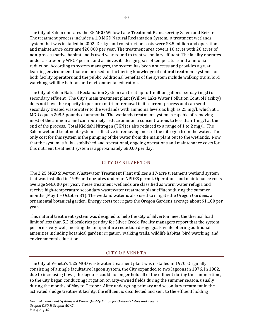The City of Salem operates the 35 MGD Willow Lake Treatment Plant, serving Salem and Keizer. The treatment process includes a 1.0 MGD Natural Reclamation System, a treatment wetlands system that was installed in 2002. Design and construction costs were \$3.5 million and operations and maintenance costs are \$20,000 per year. The treatment area covers 10 acres with 20 acres of non‐process native habitat and is used year‐round to treat secondary effluent. The facility operates under a state‐only WPCF permit and achieves its design goals of temperature and ammonia reduction. According to system managers, the system has been a success and provides a great learning environment that can be used for furthering knowledge of natural treatment systems for both facility operators and the public. Additional benefits of the system include walking trails, bird watching, wildlife habitat, and environmental education.

The City of Salem Natural Reclamation System can treat up to 1 million gallons per day (mgd) of secondary effluent. The City's main treatment plant (Willow Lake Water Pollution Control Facility) does not have the capacity to perform nutrient removal in its current process and can send secondary treated wastewater to the wetlands with ammonia levels as high as 25 mg/l, which at 1 MGD equals 208.5 pounds of ammonia. The wetlands treatment system is capable of removing most of the ammonia and can routinely reduce ammonia concentrations to less than 1 mg/l at the end of the process. Total Kjeldahl Nitrogen (TKN) is also reduced to a range of 1 to 2 mg/l. The Salem wetland treatment system is effective in removing most of the nitrogen from the water. The only cost for this system is the pumping of the water from the main plant out to the wetlands. Now that the system is fully established and operational, ongoing operations and maintenance costs for this nutrient treatment system is approximately \$80.00 per day.

### CITY OF SILVERTON

The 2.25 MGD Silverton Wastewater Treatment Plant utilizes a 17‐acre treatment wetland system that was installed in 1999 and operates under an NPDES permit. Operations and maintenance costs average \$46,000 per year. These treatment wetlands are classified as warm water refugia and receive high-temperature secondary wastewater treatment plant effluent during the summer months (May 1 – October 31). The wetland water is also used to irrigate the Oregon Gardens, an ornamental botanical garden. Energy costs to irrigate the Oregon Gardens average about \$1,100 per year.

This natural treatment system was designed to help the City of Silverton meet the thermal load limit of less than 5.2 kilocalories per day for Silver Creek. Facility managers report that the system performs very well, meeting the temperature reduction design goals while offering additional amenities including botanical garden irrigation, walking trails, wildlife habitat, bird watching, and environmental education.

# CITY OF VENETA

The City of Veneta's 1.25 MGD wastewater treatment plant was installed in 1970. Originally consisting of a single facultative lagoon system, the City expanded to two lagoons in 1976. In 1982, due to increasing flows, the lagoons could no longer hold all of the effluent during the summertime, so the City began conducting irrigation on City-owned fields during the summer season, usually during the months of May to October. After undergoing primary and secondary treatment in the activated sludge treatment facility, the effluent is disinfected and sent to the effluent holding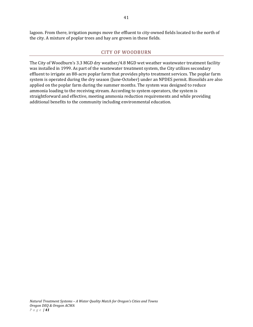lagoon. From there, irrigation pumps move the effluent to city-owned fields located to the north of the city. A mixture of poplar trees and hay are grown in these fields.

#### CITY OF WOODBURN

The City of Woodburn's 3.3 MGD dry weather/4.8 MGD wet weather wastewater treatment facility was installed in 1999. As part of the wastewater treatment system, the City utilizes secondary effluent to irrigate an 88‐acre poplar farm that provides phyto treatment services. The poplar farm system is operated during the dry season (June‐October) under an NPDES permit. Biosolids are also applied on the poplar farm during the summer months. The system was designed to reduce ammonia loading to the receiving stream. According to system operators, the system is straightforward and effective, meeting ammonia reduction requirements and while providing additional benefits to the community including environmental education.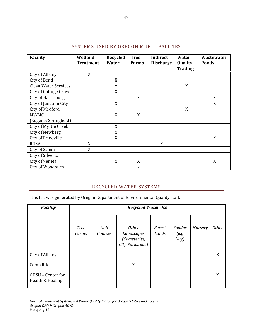| Facility                     | Wetland<br><b>Treatment</b> | <b>Recycled</b><br>Water | <b>Tree</b><br><b>Farms</b> | <b>Indirect</b><br><b>Discharge</b> | <b>Water</b><br>Quality<br><b>Trading</b> | Wastewater<br><b>Ponds</b> |
|------------------------------|-----------------------------|--------------------------|-----------------------------|-------------------------------------|-------------------------------------------|----------------------------|
| City of Albany               | X                           |                          |                             |                                     |                                           |                            |
| City of Bend                 |                             | X                        |                             |                                     |                                           |                            |
| <b>Clean Water Services</b>  |                             | X                        |                             |                                     | X                                         |                            |
| <b>City of Cottage Grove</b> |                             | X                        |                             |                                     |                                           |                            |
| City of Harrisburg           |                             |                          | X                           |                                     |                                           | X                          |
| City of Junction City        |                             | X                        |                             |                                     |                                           | X                          |
| City of Medford              |                             |                          |                             |                                     | X                                         |                            |
| <b>MWMC</b>                  |                             | X                        | X                           |                                     |                                           |                            |
| (Eugene/Springfield)         |                             |                          |                             |                                     |                                           |                            |
| <b>City of Myrtle Creek</b>  |                             | X                        |                             |                                     |                                           |                            |
| City of Newberg              |                             | X                        |                             |                                     |                                           |                            |
| City of Prineville           |                             | X                        |                             |                                     |                                           | X                          |
| <b>RUSA</b>                  | X                           |                          |                             | X                                   |                                           |                            |
| City of Salem                | X                           |                          |                             |                                     |                                           |                            |
| City of Silverton            |                             |                          |                             |                                     |                                           |                            |
| City of Veneta               |                             | X                        | X                           |                                     |                                           | X                          |
| City of Woodburn             |                             |                          | X                           |                                     |                                           |                            |

# SYSTEMS USED BY OREGON MUNICIPALITIES

# RECYCLED WATER SYSTEMS

This list was generated by Oregon Department of Environmental Quality staff.

| <b>Facility</b>                       | <b>Recycled Water Use</b> |                 |                                                                 |                 |                        |         |              |
|---------------------------------------|---------------------------|-----------------|-----------------------------------------------------------------|-----------------|------------------------|---------|--------------|
|                                       | <b>Tree</b><br>Farms      | Golf<br>Courses | <b>Other</b><br>Landscapes<br>(Cemeteries,<br>City Parks, etc.) | Forest<br>Lands | Fodder<br>(e.g<br>Hay) | Nursery | <b>Other</b> |
| City of Albany                        |                           |                 |                                                                 |                 |                        |         | X            |
| Camp Rilea                            |                           |                 | X                                                               |                 |                        |         |              |
| OHSU - Center for<br>Health & Healing |                           |                 |                                                                 |                 |                        |         | X            |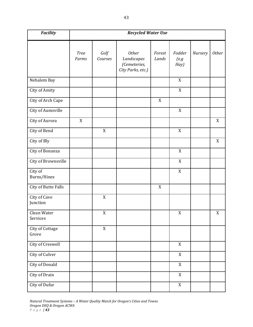| <b>Facility</b>          |                      | <b>Recycled Water Use</b> |                                                                 |                 |                        |         |              |
|--------------------------|----------------------|---------------------------|-----------------------------------------------------------------|-----------------|------------------------|---------|--------------|
|                          | <b>Tree</b><br>Farms | Golf<br>Courses           | <b>Other</b><br>Landscapes<br>(Cemeteries,<br>City Parks, etc.) | Forest<br>Lands | Fodder<br>(e.g<br>Hay) | Nursery | <b>Other</b> |
| Nehalem Bay              |                      |                           |                                                                 |                 | X                      |         |              |
| City of Amity            |                      |                           |                                                                 |                 | X                      |         |              |
| City of Arch Cape        |                      |                           |                                                                 | X               |                        |         |              |
| City of Aumsville        |                      |                           |                                                                 |                 | X                      |         |              |
| City of Aurora           | $\mathbf X$          |                           |                                                                 |                 |                        |         | X            |
| City of Bend             |                      | X                         |                                                                 |                 | X                      |         |              |
| City of Bly              |                      |                           |                                                                 |                 |                        |         | X            |
| City of Bonanza          |                      |                           |                                                                 |                 | X                      |         |              |
| City of Brownsville      |                      |                           |                                                                 |                 | $\mathbf X$            |         |              |
| City of<br>Burns/Hines   |                      |                           |                                                                 |                 | X                      |         |              |
| City of Butte Falls      |                      |                           |                                                                 | X               |                        |         |              |
| City of Cave<br>Junction |                      | $\mathbf X$               |                                                                 |                 |                        |         |              |
| Clean Water<br>Services  |                      | $\mathbf X$               |                                                                 |                 | $\mathbf X$            |         | $\mathbf X$  |
| City of Cottage<br>Grove |                      | $\mathbf X$               |                                                                 |                 |                        |         |              |
| City of Creswell         |                      |                           |                                                                 |                 | X                      |         |              |
| City of Culver           |                      |                           |                                                                 |                 | $\mathbf X$            |         |              |
| City of Donald           |                      |                           |                                                                 |                 | $\mathbf{X}$           |         |              |
| City of Drain            |                      |                           |                                                                 |                 | X                      |         |              |
| City of Dufur            |                      |                           |                                                                 |                 | X                      |         |              |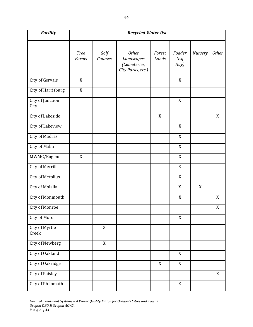| <b>Facility</b>                | <b>Recycled Water Use</b> |                 |                                                                 |                 |                        |             |                  |
|--------------------------------|---------------------------|-----------------|-----------------------------------------------------------------|-----------------|------------------------|-------------|------------------|
|                                | <b>Tree</b><br>Farms      | Golf<br>Courses | <b>Other</b><br>Landscapes<br>(Cemeteries,<br>City Parks, etc.) | Forest<br>Lands | Fodder<br>(e.g<br>Hay) | Nursery     | <b>Other</b>     |
| City of Gervais                | X                         |                 |                                                                 |                 | X                      |             |                  |
| City of Harrisburg             | X                         |                 |                                                                 |                 |                        |             |                  |
| City of Junction<br>City       |                           |                 |                                                                 |                 | X                      |             |                  |
| City of Lakeside               |                           |                 |                                                                 | X               |                        |             | X                |
| City of Lakeview               |                           |                 |                                                                 |                 | X                      |             |                  |
| City of Madras                 |                           |                 |                                                                 |                 | X                      |             |                  |
| City of Malin                  |                           |                 |                                                                 |                 | X                      |             |                  |
| MWMC/Eugene                    | $\mathbf X$               |                 |                                                                 |                 | X                      |             |                  |
| City of Merrill                |                           |                 |                                                                 |                 | X                      |             |                  |
| <b>City of Metolius</b>        |                           |                 |                                                                 |                 | X                      |             |                  |
| City of Molalla                |                           |                 |                                                                 |                 | X                      | $\mathbf X$ |                  |
| City of Monmouth               |                           |                 |                                                                 |                 | X                      |             | X                |
| City of Monroe                 |                           |                 |                                                                 |                 |                        |             | $\boldsymbol{X}$ |
| City of Moro                   |                           |                 |                                                                 |                 | $\mathbf X$            |             |                  |
| <b>City of Myrtle</b><br>Creek |                           | $\overline{X}$  |                                                                 |                 |                        |             |                  |
| City of Newberg                |                           | X               |                                                                 |                 |                        |             |                  |
| City of Oakland                |                           |                 |                                                                 |                 | X                      |             |                  |
| City of Oakridge               |                           |                 |                                                                 | X               | X                      |             |                  |
| <b>City of Paisley</b>         |                           |                 |                                                                 |                 |                        |             | $\mathbf X$      |
| City of Philomath              |                           |                 |                                                                 |                 | X                      |             |                  |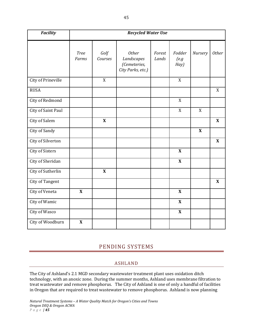| <b>Facility</b>           | <b>Recycled Water Use</b> |                           |                                                                 |                 |                        |             |              |
|---------------------------|---------------------------|---------------------------|-----------------------------------------------------------------|-----------------|------------------------|-------------|--------------|
|                           | <b>Tree</b><br>Farms      | Golf<br>Courses           | <b>Other</b><br>Landscapes<br>(Cemeteries,<br>City Parks, etc.) | Forest<br>Lands | Fodder<br>(e.g<br>Hay) | Nursery     | <b>Other</b> |
| <b>City of Prineville</b> |                           | $\mathbf{X}$              |                                                                 |                 | X                      |             |              |
| <b>RUSA</b>               |                           |                           |                                                                 |                 |                        |             | X            |
| City of Redmond           |                           |                           |                                                                 |                 | X                      |             |              |
| City of Saint Paul        |                           |                           |                                                                 |                 | X                      | X           |              |
| City of Salem             |                           | $\boldsymbol{\mathrm{X}}$ |                                                                 |                 |                        |             | $\mathbf X$  |
| City of Sandy             |                           |                           |                                                                 |                 |                        | $\mathbf X$ |              |
| City of Silverton         |                           |                           |                                                                 |                 |                        |             | $\mathbf X$  |
| <b>City of Sisters</b>    |                           |                           |                                                                 |                 | $\mathbf{X}$           |             |              |
| City of Sheridan          |                           |                           |                                                                 |                 | $\mathbf{X}$           |             |              |
| City of Sutherlin         |                           | $\boldsymbol{\mathrm{X}}$ |                                                                 |                 |                        |             |              |
| <b>City of Tangent</b>    |                           |                           |                                                                 |                 |                        |             | $\mathbf X$  |
| City of Veneta            | $\mathbf{X}$              |                           |                                                                 |                 | $\mathbf{X}$           |             |              |
| City of Wamic             |                           |                           |                                                                 |                 | $\mathbf X$            |             |              |
| City of Wasco             |                           |                           |                                                                 |                 | $\mathbf{X}$           |             |              |
| City of Woodburn          | $\mathbf X$               |                           |                                                                 |                 |                        |             |              |

# PENDING SYSTEMS

# ASHLAND

The City of Ashland's 2.1 MGD secondary wastewater treatment plant uses oxidation ditch technology, with an anoxic zone. During the summer months, Ashland uses membrane filtration to treat wastewater and remove phosphorus. The City of Ashland is one of only a handful of facilities in Oregon that are required to treat wastewater to remove phosphorus. Ashland is now planning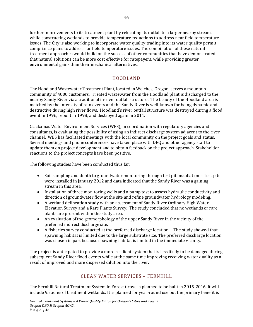further improvements to its treatment plant by relocating its outfall to a larger nearby stream, while constructing wetlands to provide temperature reductions to address near field temperature issues. The City is also working to incorporate water quality trading into its water quality permit compliance plans to address far field temperature issues. The combination of these natural treatment approaches would build on the success of other communities that have demonstrated that natural solutions can be more cost effective for ratepayers, while providing greater environmental gains than their mechanical alternatives.

## HOODLAND

The Hoodland Wastewater Treatment Plant, located in Welches, Oregon, serves a mountain community of 4000 customers. Treated wastewater from the Hoodland plant is discharged to the nearby Sandy River via a traditional in-river outfall structure. The beauty of the Hoodland area is matched by the intensity of rain events and the Sandy River is well-known for being dynamic and destructive during high river flows. Hoodland's river outfall structure was destroyed during a flood event in 1996, rebuilt in 1998, and destroyed again in 2011.

Clackamas Water Environment Services (WES), in coordination with regulatory agencies and consultants, is evaluating the possibility of using an indirect discharge system adjacent to the river channel. WES has facilitated meetings with the local community on the project goals and status. Several meetings and phone conferences have taken place with DEQ and other agency staff to update them on project development and to obtain feedback on the project approach. Stakeholder reactions to the project concepts have been positive.

The following studies have been conducted thus far:

- Soil sampling and depth to groundwater monitoring through test pit installation Test pits were installed in January 2012 and data indicated that the Sandy River was a gaining stream in this area.
- Installation of three monitoring wells and a pump test to assess hydraulic conductivity and direction of groundwater flow at the site and refine groundwater hydrology modeling.
- A wetland delineation study with an assessment of Sandy River Ordinary High Water Elevation Survey and a Rare Plants Survey. The study concluded that no wetlands or rare plants are present within the study area.
- An evaluation of the geomorphology of the upper Sandy River in the vicinity of the preferred indirect discharge site.
- A fisheries survey conducted at the preferred discharge location. The study showed that spawning habitat is limited due to the large substrate size. The preferred discharge location was chosen in part because spawning habitat is limited in the immediate vicinity.

The project is anticipated to provide a more resilient system that is less likely to be damaged during subsequent Sandy River flood events while at the same time improving receiving water quality as a result of improved and more dispersed dilution into the river.

#### CLEAN WATER SERVICES – FERNHILL

The Fernhill Natural Treatment System in Forest Grove is planned to be built in 2015‐2016. It will include 95 acres of treatment wetlands. It is planned for year-round use but the primary benefit is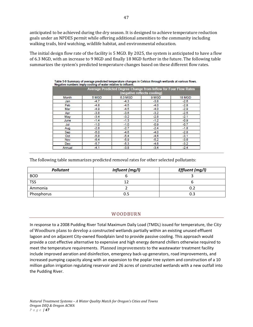anticipated to be achieved during the dry season. It is designed to achieve temperature reduction goals under an NPDES permit while offering additional amenities to the community including walking trails, bird watching, wildlife habitat, and environmental education.

The initial design flow rate of the facility is 5 MGD. By 2025, the system is anticipated to have a flow of 6.3 MGD, with an increase to 9 MGD and finally 18 MGD further in the future. The following table summarizes the system's predicted temperature changes based on these different flow rates.

|            |        | Average Predicted Degree Change from Inflow for Four Flow Rates<br>(negative reflects cooling) |        |        |
|------------|--------|------------------------------------------------------------------------------------------------|--------|--------|
| Month      | 5 MGD  | 6.3 MGD                                                                                        | 9 MGD  | 18 MGD |
| Jan        | $-4.7$ | $-4.3$                                                                                         | $-3.8$ | $-2.6$ |
| Feb        | $-4.8$ | $-4.5$                                                                                         | $-4.0$ | $-2.8$ |
| <b>Mar</b> | $-4.9$ | $-4.5$                                                                                         | $-4.0$ | $-2.9$ |
| Apr        | $-3.8$ | $-3.6$                                                                                         | $-3.2$ | $-2.5$ |
| May        | 3.4    | $-3.2$                                                                                         | $-2.8$ | $-2.1$ |
| June       | $-1.4$ | $-1.3$                                                                                         | $-1.2$ | $-0.9$ |
| Jul        | $-1.0$ | $-1.0$                                                                                         | $-0.9$ | $-0.7$ |
| Aug        | $-2.8$ | $-2.7$                                                                                         | $-2.4$ | $-1.8$ |
| Sep        | $-5.0$ | $-4.6$                                                                                         | $-4.0$ | $-2.8$ |
| Oct        | $-5.8$ | $-5.4$                                                                                         | $-4.6$ | $-3.1$ |
| Nov        | $-6.4$ | $-5.9$                                                                                         | $-5.2$ | $-3.6$ |
| <b>Dec</b> | $-5.7$ | $-5.3$                                                                                         | $-4.6$ | $-3.2$ |
| Annual     | $-4.1$ | $-3.8$                                                                                         | $-3.4$ | $-2.4$ |

The following table summarizes predicted removal rates for other selected pollutants:

| <b>Pollutant</b> | Influent (mg/l) | Effluent (mg/l) |
|------------------|-----------------|-----------------|
| <b>BOD</b>       |                 |                 |
| <b>TSS</b>       |                 |                 |
| Ammonia          |                 |                 |
| Phosphorus       |                 | 0.3             |

#### WOODBURN

In response to a 2008 Pudding River Total Maximum Daily Load (TMDL) issued for temperature, the City of Woodburn plans to develop a constructed wetlands partially within an existing unused effluent lagoon and on adjacent City‐owned floodplain land to provide passive cooling. This approach would provide a cost effective alternative to expensive and high energy demand chillers otherwise required to meet the temperature requirements. Planned improvements to the wastewater treatment facility include improved aeration and disinfection, emergency back‐up generators, road improvements, and increased pumping capacity along with an expansion to the poplar tree system and construction of a 10 million gallon irrigation regulating reservoir and 26 acres of constructed wetlands with a new outfall into the Pudding River.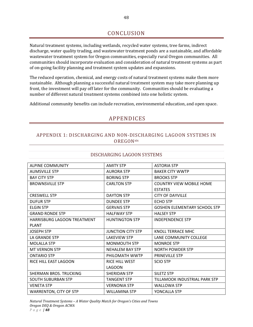# CONCLUSION

Natural treatment systems, including wetlands, recycled water systems, tree farms, indirect discharge, water quality trading, and wastewater treatment ponds are a sustainable, and affordable wastewater treatment system for Oregon communities, especially rural Oregon communities. All communities should incorporate evaluation and consideration of natural treatment systems as part of on‐going facility planning and treatment system updates and expansions.

The reduced operation, chemical, and energy costs of natural treatment systems make them more sustainable. Although planning a successful natural treatment system may take more planning up front, the investment will pay off later for the community. Communities should be evaluating a number of different natural treatment systems combined into one holistic system.

Additional community benefits can include recreation, environmental education, and open space.

# APPENDICES

## APPENDIX 1: DISCHARGING AND NON‐DISCHARGING LAGOON SYSTEMS IN **OREGON**xix

| <b>ALPINE COMMUNITY</b>            | <b>AMITY STP</b>         | <b>ASTORIA STP</b>                  |
|------------------------------------|--------------------------|-------------------------------------|
| <b>AUMSVILLE STP</b>               | <b>AURORA STP</b>        | <b>BAKER CITY WWTP</b>              |
| <b>BAY CITY STP</b>                | <b>BORING STP</b>        | <b>BROOKS STP</b>                   |
| <b>BROWNSVILLE STP</b>             | <b>CARLTON STP</b>       | <b>COUNTRY VIEW MOBILE HOME</b>     |
|                                    |                          | <b>ESTATES</b>                      |
| <b>CRESWELL STP</b>                | <b>DAYTON STP</b>        | <b>CITY OF DAYVILLE</b>             |
| <b>DUFUR STP</b>                   | <b>DUNDEE STP</b>        | <b>ECHO STP</b>                     |
| <b>ELGIN STP</b>                   | <b>GERVAIS STP</b>       | <b>GOSHEN ELEMENTARY SCHOOL STP</b> |
| <b>GRAND RONDE STP</b>             | <b>HALFWAY STP</b>       | <b>HALSEY STP</b>                   |
| <b>HARRISBURG LAGOON TREATMENT</b> | <b>HUNTINGTON STP</b>    | <b>INDEPENDENCE STP</b>             |
| <b>PLANT</b>                       |                          |                                     |
| <b>JOSEPH STP</b>                  | <b>JUNCTION CITY STP</b> | KNOLL TERRACE MHC                   |
| LA GRANDE STP                      | <b>LAKEVIEW STP</b>      | LANE COMMUNITY COLLEGE              |
| <b>MOLALLA STP</b>                 | <b>MONMOUTH STP</b>      | <b>MONROE STP</b>                   |
| <b>MT VERNON STP</b>               | <b>NEHALEM BAY STP</b>   | <b>NORTH POWDER STP</b>             |
| <b>ONTARIO STP</b>                 | PHILOMATH WWTP           | <b>PRINEVILLE STP</b>               |
| RICE HILL EAST LAGOON              | <b>RICE HILL WEST</b>    | <b>SCIO STP</b>                     |
|                                    | <b>LAGOON</b>            |                                     |
| SHERMAN BROS. TRUCKING             | <b>SHERIDAN STP</b>      | <b>SILETZ STP</b>                   |
| <b>SOUTH SUBURBAN STP</b>          | <b>TANGENT STP</b>       | TILLAMOOK INDUSTRIAL PARK STP       |
| <b>VENETA STP</b>                  | <b>VERNONIA STP</b>      | <b>WALLOWA STP</b>                  |
| <b>WARRENTON, CITY OF STP</b>      | <b>WILLAMINA STP</b>     | YONCALLA STP                        |

#### DISCHARGING LAGOON SYSTEMS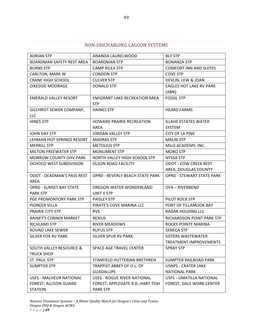## NON‐DISCHARGING LAGOON SYSTEMS

| <b>ADRIAN STP</b>                  | ANANDA LAURELWOOD                      | <b>BLY STP</b>                   |
|------------------------------------|----------------------------------------|----------------------------------|
| BOARDMAN SAFETY REST AREA          | <b>BOARDMAN STP</b>                    | <b>BONANZA STP</b>               |
| <b>BURNS STP</b>                   | <b>CAMP RILEA STP</b>                  | <b>COMFORT INN AND SUITES</b>    |
| <b>CARLTON, MARK W</b>             | <b>CONDON STP</b>                      | <b>COVE STP</b>                  |
| <b>CRANE HIGH SCHOOL</b>           | <b>CULVER STP</b>                      | DEVLIN, LEW & JOAN               |
| <b>DIKESIDE MOORAGE</b>            | <b>DONALD STP</b>                      | <b>EAGLES HOT LAKE RV PARK</b>   |
|                                    |                                        | (ABN)                            |
| <b>EMERALD VALLEY RESORT</b>       | <b>EMIGRANT LAKE RECREATION AREA</b>   | <b>FOSSIL STP</b>                |
|                                    | <b>STP</b>                             |                                  |
| GILCHRIST SEWER COMPANY,           | <b>HAINES STP</b>                      | <b>HEARD FARMS</b>               |
| <b>LLC</b>                         |                                        |                                  |
| <b>HINES STP</b>                   | <b>HOWARD PRAIRIE RECREATION</b>       | <b>ILLAHE ESTATES WATER</b>      |
|                                    | AREA                                   | SYSTEM                           |
| JOHN DAY STP                       | <b>JORDAN VALLEY STP</b>               | <b>CITY OF LA PINE</b>           |
| LEHMAN HOT SPRINGS RESORT          | <b>MADRAS STP</b>                      | <b>MALIN STP</b>                 |
| <b>MERRILL STP</b>                 | <b>METOLIUS STP</b>                    | MILO ACADEMY, INC.               |
| <b>MILTON-FREEWATER STP</b>        | <b>MONUMENT STP</b>                    | <b>MORO STP</b>                  |
| <b>MORROW COUNTY OHV PARK</b>      | NORTH VALLEY HIGH SCHOOL STP           | <b>NYSSA STP</b>                 |
| OCHOCO WEST SUBDIVISION            | <b>OLSON ROAD FACILITY</b>             | <b>ODOT - COW CREEK REST</b>     |
|                                    |                                        | AREA, DOUGLAS COUNTY             |
| <b>ODOT - DEADMAN'S PASS REST</b>  | <b>OPRD - BEVERLY BEACH STATE PARK</b> | <b>OPRD - STEWART STATE PARK</b> |
| AREA                               |                                        |                                  |
| <b>OPRD - SUNSET BAY STATE</b>     | OREGON WATER WONDERLAND                | OYA - RIVERBEND                  |
| <b>PARK STP</b>                    | UNIT II STP                            |                                  |
| PGE PROMONTORY PARK STP            | PAISLEY STP                            | PILOT ROCK STP                   |
| PIONEER VILLA                      | PIRATE'S COVE MARINA LLC               | PORT OF TILLAMOOK BAY            |
| PRAIRIE CITY STP                   | <b>RVS</b>                             | <b>RADAR HOLDING LLC</b>         |
| RAINEY'S CORNER MARKET             | <b>REXIUS</b>                          | RICHARDSON POINT PARK STP        |
| RICHLAND STP                       | <b>RIVER MEADOWS</b>                   | ROCKY POINTE MARINA              |
| ROUND LAKE SEWER                   | <b>RUFUS STP</b>                       | <b>SENECA STP</b>                |
| SILVER FOX RV PARK                 | SILVER SPUR RV PARK                    | <b>SISTERS WASTEWATER</b>        |
|                                    |                                        | <b>TREATMENT IMPROVEMENTS</b>    |
| <b>SOUTH VALLEY RESOURCE &amp;</b> | SPACE AGE TRAVEL CENTER                | <b>SPRAY STP</b>                 |
| <b>TRUCK SHOP</b>                  |                                        |                                  |
| <b>ST. PAUL STP</b>                | STANFIELD HUTTERIAN BRETHREN           | SUMPTER RAILROAD PARK            |
| <b>SUMPTER STP</b>                 | TRAPPIST ABBEY OF O.L. OF              | <b>USNPS - CRATER LAKE</b>       |
|                                    | <b>GUADALUPE</b>                       | <b>NATIONAL PARK</b>             |
| <b>USFS - MALHEUR NATIONAL</b>     | USFS - ROGUE RIVER NATIONAL            | USFS - UMATILLA NATIONAL         |
| FOREST; ALLISON GUARD              | FOREST, APPLEGATE R.D.; HART-TISH      | FOREST; DALE WORK CENTER         |
| <b>STATION</b>                     | <b>PARK STP</b>                        |                                  |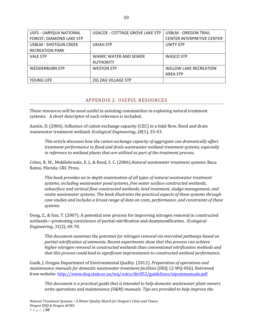| USFS - UMPQUA NATIONAL   | USACOE - COTTAGE GROVE LAKE STP | <b>USBLM - OREGON TRAIL</b>       |
|--------------------------|---------------------------------|-----------------------------------|
| FOREST; DIAMOND LAKE STP |                                 | <b>CENTER INTERPRETIVE CENTER</b> |
| USBLM - SHOTGUN CREEK    | <b>UKIAH STP</b>                | <b>UNITY STP</b>                  |
| <b>RECREATION PARK</b>   |                                 |                                   |
| <b>VALE STP</b>          | WAMIC WATER AND SEWER           | WASCO STP                         |
|                          | <b>AUTHORITY</b>                |                                   |
| <b>WEDDERBURN STP</b>    | <b>WESTON STP</b>               | <b>WILLOW LAKE RECREATION</b>     |
|                          |                                 | <b>AREA STP</b>                   |
| YOUNG LIFE               | ZIG ZAG VILLAGE STP             |                                   |

#### APPENDIX 2: USEFUL RESOURCES

These resources will be most useful in assisting communities in exploring natural treatment systems. A short descriptor of each reference is included.

Austin, D. (2006). Influence of cation exchange capacity (CEC) in a tidal flow, flood and drain wastewater treatment wetland. *Ecological Engineering*, *28*(1), 35‐43.

*This article discusses how the cation exchange capacity of aggregate can dramatically affect treatment performance in flood and drain wastewater wetland treatment systems, especially in reference to wetland plants that are utilized as part of the treatment process.*

Crites, R. W., Middlebrooks, E. J., & Reed, S. C. (2006).*Natural wastewater treatment systems*. Boca Raton, Florida: CRC Press.

*This book provides an indepth examination of all types of natural wastewater treatment systems, including wastewater pond systems, free water surface constructed wetlands, subsurface and vertical flow constructed wetlands, land treatment, sludge management, and onsite wastewater systems. The book illustrates the practical aspects of these systems through case studies and includes a broad range of data on costs, performance, and constraints of these systems.* 

Dong, Z., & Sun, T. (2007). A potential new process for improving nitrogen removal in constructed wetlands—promoting coexistence of partial‐nitrification and deammonification. *Ecological Engineering*, *31*(2), 69‐78.

*This document examines the potential for nitrogen removal via microbial pathways based on partialnitrification of ammonia. Recent experiments show that this process can achieve higher nitrogen removal in constructed wetlands than conventional nitrification methods and that this process could lead to significant improvements to constructed wetland performance.* 

Gasik, J. Oregon Department of Environmental Quality. (2012). *Preparation of operations and maintenance manuals for domestic wastewater treatment facilities* (DEQ 12‐WQ‐056). Retrieved from website: http://www.deq.state.or.us/wq/rules/div052/guidelines/stpommanuals.pdf

*This document is a practical guide that is intended to help domestic wastewater plant owners write operations and maintenance (O&M) manuals. Tips are provided to help improve the*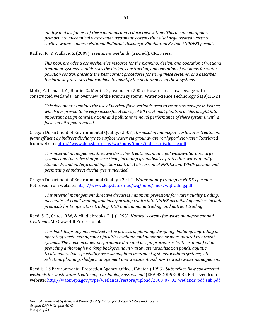*quality and usefulness of these manuals and reduce review time. This document applies primarily to mechanical wastewater treatment systems that discharge treated water to surface waters under a National Pollutant Discharge Elimination System (NPDES) permit.*

Kadlec, R., & Wallace, S. (2009). *Treatment wetlands*. (2nd ed.). CRC Press.

*This book provides a comprehensive resource for the planning, design, and operation of wetland treatment systems. It addresses the design, construction, and operation of wetlands for water pollution control, presents the best current procedures for sizing these systems, and describes the intrinsic processes that combine to quantify the performance of these systems.*

Molle, P., Lienard, A., Boutin, C., Merlin, G., Iwema, A. (2005). How to treat raw sewage with constructed wetlands: an overview of the French systems. Water Science Technology 51(9):11‐21.

*This document examines the use of vertical flow wetlands used to treat raw sewage in France, which has proved to be very successful. A survey of 80 treatment plants provides insight into important design considerations and pollutant removal performance of these systems, with a focus on nitrogen removal.*

Oregon Department of Environmental Quality. (2007). *Disposal of municipal wastewater treatment plant effluent by indirect discharge to surface water via groundwater or hyporheic water*. Retrieved from website: http://www.deq.state.or.us/wq/pubs/imds/indirectdischarge.pdf

*This internal management directive describes treatment municipal wastewater discharge systems and the rules that govern them, including groundwater protection, water quality standards, and underground injection control. A discussion of NPDES and WPCF permits and permitting of indirect discharges is included.*

Oregon Department of Environmental Quality. (2012). *Water quality trading in NPDES permits*. Retrieved from website: http://www.deq.state.or.us/wq/pubs/imds/wqtrading.pdf

*This internal management directive discusses minimum provisions for water quality trading, mechanics of credit trading, and incorporating trades into NPDES permits. Appendices include protocols for temperature trading, BOD and ammonia trading, and nutrient trading.*

Reed, S. C., Crites, R.W, & Middlebrooks, E. J. (1998). *Natural systems for waste management and treatment.* McGraw‐Hill Professional.

*This book helps anyone involved in the process of planning, designing, building, upgrading or operating waste management facilities evaluate and adopt one or more natural treatment systems. The book includes performance data and design procedures (with example) while providing a thorough working background in wastewater stabilization ponds, aquatic treatment systems, feasibility assessment, land treatment systems, wetland systems, site selection, planning, sludge management and treatment and onsite wastewater management.*

Reed, S. US Environmental Protection Agency, Office of Water. (1993). *Subsurface flow constructed wetlands for wastewater treatment, a technology assessment* (EPA 832‐R‐93‐008). Retrieved from website: http://water.epa.gov/type/wetlands/restore/upload/2003\_07\_01\_wetlands\_pdf\_sub.pdf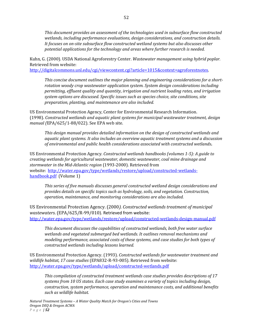*This document provides an assessment of the technologies used in subsurface flow constructed wetlands, including performance evaluations, design considerations, and construction details. It focuses on onsite subsurface flow constructed wetland systems but also discusses other potential applications for the technology and areas where further research is needed.* 

Kuhn, G. (2000). USDA National Agroforestry Center. *Wastewater management using hybrid poplar.* Retrieved from website:

http://digitalcommons.unl.edu/cgi/viewcontent.cgi?article=1015&context=agroforestnotes.

*This concise document outlines the major planning and engineering considerations for a shortrotation woody crop wastewater application system. System design considerations including permitting, effluent quality and quantity, irrigation and nutrient loading rates, and irrigation system options are discussed. Specific issues such as species choice, site conditions, site preparation, planting, and maintenance are also included.* 

US Environmental Protection Agency, Center for Environmental Research Information. (1998). *Constructed wetlands and aquatic plant systems for municipal wastewater treatment, design manual (*EPA/625/1‐88/022). See EPA web site.

*This design manual provides detailed information on the design of constructed wetlands and aquatic plant systems. It also includes an overview aquatic treatment systems and a discussion of environmental and public health considerations associated with constructed wetlands***.**

US Environmental Protection Agency. *Constructed wetlands handbooks (volumes 15): A guide to creating wetlands for agricultural wastewater, domestic wastewater, coal mine drainage and stormwater in the MidAtlantic region* (1993‐2000). Retrieved from website: http://water.epa.gov/type/wetlands/restore/upload/constructed-wetlandshandbook.pdf (Volume 1)

*This series of five manuals discusses general constructed wetland design considerations and provides details on specific topics such as hydrology, soils, and vegetation. Construction, operation, maintenance, and monitoring considerations are also included.*

US Environmental Protection Agency. (2000*). Constructed wetlands treatment of municipal wastewaters*. (EPA/625/R‐99/010). Retrieved from website: http://water.epa.gov/type/wetlands/restore/upload/constructed‐wetlands‐design‐manual.pdf

*This document discusses the capabilities of constructed wetlands, both free water surface wetlands and vegetated submerged bed wetlands. It outlines removal mechanisms and modeling performance, associated costs of these systems, and case studies for both types of constructed wetlands including lessons learned.*

US Environmental Protection Agency. (1993). *Constructed wetlands for wastewater treatment and wildlife habitat, 17 case studies* (EPA832‐R‐93‐005). Retrieved from website: http://water.epa.gov/type/wetlands/upload/constructed‐wetlands.pdf

*This compilation of constructed treatment wetlands case studies provides descriptions of 17 systems from 10 US states. Each case study examines a variety of topics including design, construction, system performance, operation and maintenance costs, and additional benefits such as wildlife habitat.*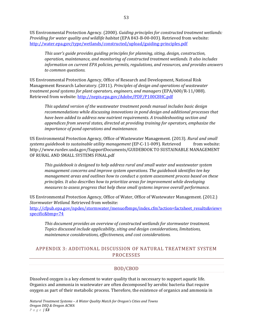US Environmental Protection Agency. (2000). *Guiding principles for constructed treatment wetlands: Providing for water quality and wildlife habitat* (EPA 843‐B‐00‐003). Retrieved from website: http://water.epa.gov/type/wetlands/constructed/upload/guiding‐principles.pdf

*This user's guide provides guiding principles for planning, siting, design, construction, operation, maintenance, and monitoring of constructed treatment wetlands. It also includes information on current EPA policies, permits, regulations, and resources, and provides answers to common questions.*

US Environmental Protection Agency, Office of Research and Development, National Risk Management Research Laboratory. (2011). *Principles of design and operations of wastewater treatment pond systems for plant operators, engineers, and managers* (EPA/600/R‐11/088). Retrieved from website: http://nepis.epa.gov/Adobe/PDF/P100C8HC.pdf

*This updated version of the wastewater treatment ponds manual includes basic design recommendations while discussing innovations in pond design and additional processes that have been added to address new nutrient requirements. A troubleshooting section and appendices from several states, directed at providing training for operators, emphasize the importance of pond operations and maintenance.* 

US Environmental Protection Agency, Office of Wastewater Management. (2013). *Rural and small systems guidebook to sustainable utility management* (EP‐C‐11‐009). Retrieved from website: http://www.rurdev.usda.gov/SupportDocuments/GUIDEBOOK TO SUSTAINABLE MANAGEMENT OF RURAL AND SMALL SYSTEMS FINAL.pdf

*This guidebook is designed to help address rural and small water and wastewater system management concerns and improve system operations. The guidebook identifies ten key management areas and outlines how to conduct a system assessment process based on these principles. It also describes how to prioritize areas for improvement while developing measures to assess progress that help these small systems improve overall performance.*

US Environmental Protection Agency, Office of Water, Office of Wastewater Management. (2012.) *Stormwater Wetland.* Retrieved from website: http://cfpub.epa.gov/npdes/stormwater/menuofbmps/index.cfm?action=factsheet\_results&view=

*This document provides an overview of constructed wetlands for stormwater treatment. Topics discussed include applicability, siting and design considerations, limitations, maintenance considerations, effectiveness, and cost considerations.*

# APPENDIX 3: ADDITIONAL DISCUSSION OF NATURAL TREATMENT SYSTEM PROCESSES

#### BOD/CBOD

Dissolved oxygen is a key element to water quality that is necessary to support aquatic life. Organics and ammonia in wastewater are often decomposed by aerobic bacteria that require oxygen as part of their metabolic process. Therefore, the existence of organics and ammonia in

specific&bmp=74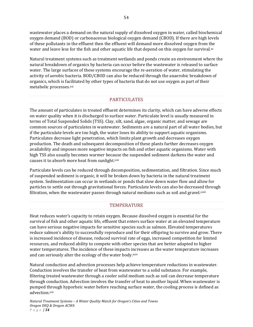wastewater places a demand on the natural supply of dissolved oxygen in water, called biochemical oxygen demand (BOD) or carbonaceous biological oxygen demand (CBOD). If there are high levels of these pollutants in the effluent then the effluent will demand more dissolved oxygen from the water and leave less for the fish and other aquatic life that depend on this oxygen for survival. $x<sub>x</sub>$ 

Natural treatment systems such as treatment wetlands and ponds create an environment where the natural breakdown of organics by bacteria can occur before the wastewater is released to surface water. The large surfaces of these systems encourage the re-aeration of water, stimulating the activity of aerobic bacteria. BOD/CBOD can also be reduced through the anaerobic breakdown of organics, which is facilitated by other types of bacteria that do not use oxygen as part of their metabolic processes.xxi

#### PARTICULATES

The amount of particulates in treated effluent determines its clarity, which can have adverse effects on water quality when it is discharged to surface water. Particulate level is usually measured in terms of Total Suspended Solids (TSS). Clay, silt, sand, algae, organic matter, and sewage are common sources of particulates in wastewater. Sediments are a natural part of all water bodies, but if the particulate levels are too high, the water loses its ability to support aquatic organisms. Particulates decrease light penetration, which limits plant growth and decreases oxygen production. The death and subsequent decomposition of these plants further decreases oxygen availability and imposes more negative impacts on fish and other aquatic organisms. Water with high TSS also usually becomes warmer because the suspended sediment darkens the water and causes it to absorb more heat from sunlight.xxii

Particulate levels can be reduced through decomposition, sedimentation, and filtration. Since much of suspended sediment is organic, it will be broken down by bacteria in the natural treatment system. Sedimentation can occur in wetlands or ponds that slow down water flow and allow for particles to settle out through gravitational forces. Particulate levels can also be decreased through filtration, when the wastewater passes through natural mediums such as soil and gravel. $x$ iii

#### **TEMPERATURE**

Heat reduces water's capacity to retain oxygen. Because dissolved oxygen is essential for the survival of fish and other aquatic life, effluent that enters surface water at an elevated temperature can have serious negative impacts for sensitive species such as salmon. Elevated temperatures reduce salmon's ability to successfully reproduce and for their offspring to survive and grow. There is increased incidence of disease, reduced survival rate of eggs, increased competition for limited resources, and reduced ability to compete with other species that are better adapted to higher water temperatures. The incidence of these impacts increases as the water temperature increases and can seriously alter the ecology of the water body.xxiv

Natural conduction and advection processes help achieve temperature reductions in wastewater. Conduction involves the transfer of heat from wastewater to a solid substance. For example, filtering treated wastewater through a cooler solid medium such as soil can decrease temperature through conduction. Advection involves the transfer of heat to another liquid. When wastewater is pumped through hyporheic water before reaching surface water, the cooling process is defined as advection.xxv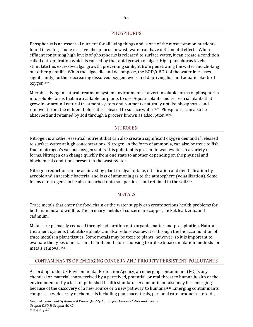#### PHOSPHORUS

Phosphorus is an essential nutrient for all living things and is one of the most common nutrients found in water; but excessive phosphorus in wastewater can have detrimental effects. When effluent containing high levels of phosphorus is released to surface water, it can create a condition called eutrophication which is caused by the rapid growth of algae. High phosphorus levels stimulate this excessive algal growth, preventing sunlight from penetrating the water and choking out other plant life. When the algae die and decompose, the BOD/CBOD of the water increases significantly, further decreasing dissolved oxygen levels and depriving fish and aquatic plants of oxygen.xxvi

Microbes living in natural treatment system environments convert insoluble forms of phosphorus into soluble forms that are available for plants to use. Aquatic plants and terrestrial plants that grow in or around natural treatment system environments naturally uptake phosphorus and remove it from the effluent before it is released to surface water.xxvii Phosphorus can also be absorbed and retained by soil through a process known as adsorption.xxviii

#### **NITROGEN**

Nitrogen is another essential nutrient that can also create a significant oxygen demand if released to surface water at high concentrations. Nitrogen, in the form of ammonia, can also be toxic to fish. Due to nitrogen's various oxygen states, this pollutant is present in wastewater in a variety of forms. Nitrogen can change quickly from one state to another depending on the physical and biochemical conditions present in the wastewater.

Nitrogen reduction can be achieved by plant or algal uptake, nitrification and denitrification by aerobic and anaerobic bacteria, and loss of ammonia gas to the atmosphere (volatilization). Some forms of nitrogen can be also adsorbed onto soil particles and retained in the soil.xxix

#### **METALS**

Trace metals that enter the food chain or the water supply can create serious health problems for both humans and wildlife. The primary metals of concern are copper, nickel, lead, zinc, and cadmium.

Metals are primarily reduced through adsorption onto organic matter and precipitation. Natural treatment systems that utilize plants can also reduce wastewater through the bioaccumulation of trace metals in plant tissues. Some metals may be toxic to plants, however, so it is important to evaluate the types of metals in the influent before choosing to utilize bioaccumulation methods for metals removal.xxx

#### CONTAMINANTS OF EMERGING CONCERN AND PRIORITY PERSISTENT POLLUTANTS

According to the US Environmental Protection Agency, an emerging contaminant (EC) is any chemical or material characterized by a perceived, potential, or real threat to human health or the environment or by a lack of published health standards. A contaminant also may be "emerging" because of the discovery of a new source or a new pathway to humans.xxxi Emerging contaminants comprise a wide array of chemicals including pharmaceuticals, personal care products, steroids,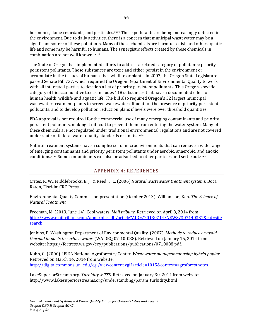hormones, flame retardants, and pesticides. xxxii These pollutants are being increasingly detected in the environment. Due to daily activities, there is a concern that municipal wastewater may be a significant source of these pollutants. Many of these chemicals are harmful to fish and other aquatic life and some may be harmful to humans. The synergistic effects created by these chemicals in combination are not well known.xxxiii

The State of Oregon has implemented efforts to address a related category of pollutants: priority persistent pollutants. These substances are toxic and either persist in the environment or accumulate in the tissues of humans, fish, wildlife or plants. In 2007, the Oregon State Legislature passed Senate Bill 737, which required the Oregon Department of Environmental Quality to work with all interested parties to develop a list of priority persistent pollutants. This Oregon-specific category of bioaccumulative toxics includes 118 substances that have a documented effect on human health, wildlife and aquatic life. The bill also required Oregon's 52 largest municipal wastewater treatment plants to screen wastewater effluent for the presence of priority persistent pollutants, and to develop pollution reduction plans if levels were over threshold quantities.

FDA approval is not required for the commercial use of many emerging contaminants and priority persistent pollutants, making it difficult to prevent them from entering the water system. Many of these chemicals are not regulated under traditional environmental regulations and are not covered under state or federal water quality standards or limits.xxxiv

Natural treatment systems have a complex set of microenvironments that can remove a wide range of emerging contaminants and priority persistent pollutants under aerobic, anaerobic, and anoxic conditions.xxxv Some contaminants can also be adsorbed to other particles and settle out.xxxvi

#### APPENDIX 4: REFERENCES

Crites, R. W., Middlebrooks, E. J., & Reed, S. C. (2006).*Natural wastewater treatment systems*. Boca Raton, Florida: CRC Press.

Environmental Quality Commission presentation (October 2013). Williamson, Ken. *The Science of Natural Treatment.*

Freeman, M. (2013, June 14). Cool waters. *Mail tribune*. Retrieved on April 8, 2014 from http://www.mailtribune.com/apps/pbcs.dll/article?AID=/20130714/NEWS/307140331&cid=site search

Jenkins, P. Washington Department of Environmental Quality. (2007). *Methods to reduce or avoid thermal impacts to surface water*. (WA DEQ 07‐10‐088). Retrieved on January 15, 2014 from website: https://fortress.wa.gov/ecy/publications/publications/0710088.pdf.

Kuhn, G. (2000). USDA National Agroforestry Center. *Wastewater management using hybrid poplar.* Retrieved on March 14, 2014 from website: http://digitalcommons.unl.edu/cgi/viewcontent.cgi?article=1015&context=agroforestnotes.

LakeSuperiorStreams.org. *Turbidity & TSS*. Retrieved on January 30, 2014 from website: http://www.lakesuperiorstreams.org/understanding/param\_turbidity.html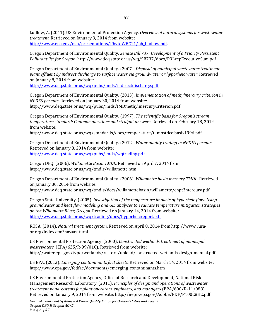Ludlow, A. (2011). US Environmental Protection Agency. *Overview of natural systems for wastewater treatment.* Retrieved on January 9, 2014 from website: http://www.epa.gov/osp/presentations/PhytoWBC11/ph\_Ludlow.pdf.

Oregon Department of Environmental Quality. *Senate Bill 737: Development of a Priority Persistent Pollutant list for Oregon.* http://www.deq.state.or.us/wq/SB737/docs/P3LrepExecutiveSum.pdf

Oregon Department of Environmental Quality. (2007). *Disposal of municipal wastewater treatment plant effluent by indirect discharge to surface water via groundwater or hyporheic water*. Retrieved on January 8, 2014 from website:

http://www.deq.state.or.us/wq/pubs/imds/indirectdischarge.pdf

Oregon Department of Environmental Quality. (2013). *Implementation of methylmercury criterion in NPDES permits.* Retrieved on January 30, 2014 from website: http://www.deq.state.or.us/wq/pubs/imds/IMDmethylmercuryCriterion.pdf

Oregon Department of Environmental Quality. (1997). *The scientific basis for Oregon's stream temperature standard: Common questions and straight answers.* Retrieved on February 18, 2014 from website:

http://www.deq.state.or.us/wq/standards/docs/temperature/tempstdccibasis1996.pdf

Oregon Department of Environmental Quality. (2012). *Water quality trading in NPDES permits*. Retrieved on January 8, 2014 from website: http://www.deq.state.or.us/wq/pubs/imds/wqtrading.pdf

Oregon DEQ. (2006). *Willamette Basin TMDL*. Retrieved on April 7, 2014 from http://www.deq.state.or.us/wq/tmdls/willamette.htm

Oregon Department of Environmental Quality. (2006). *Willamette basin mercury TMDL*. Retrieved on January 30, 2014 from website: http://www.deq.state.or.us/wq/tmdls/docs/willamettebasin/willamette/chpt3mercury.pdf

Oregon State University. (2005). *Investigation of the temperature impacts of hyporheic flow: Using groundwater and heat flow modeling and GIS analyses to evaluate temperature mitigation strategies on the Willamette River, Oregon.* Retrieved on January 14, 2014 from website: http://www.deq.state.or.us/wq/trading/docs/hyporheicreport.pdf

RUSA. (2014). *Natural treatment system*. Retrieved on April 8, 2014 from http://www.rusa‐ or.org/index.cfm?nav=natural

US Environmental Protection Agency. (2000). *Constructed wetlands treatment of municipal wastewaters.* (EPA/625/R‐99/010). Retrieved from website: http://water.epa.gov/type/wetlands/restore/upload/constructed‐wetlands‐design‐manual.pdf

US EPA. (2013). *Emerging contaminants fact sheets.* Retrieved on March 14, 2014 from website: http://www.epa.gov/fedfac/documents/emerging\_contaminants.htm

US Environmental Protection Agency, Office of Research and Development, National Risk Management Research Laboratory. (2011). *Principles of design and operations of wastewater treatment pond systems for plant operators, engineers, and managers* (EPA/600/R‐11/088). Retrieved on January 9, 2014 from website: http://nepis.epa.gov/Adobe/PDF/P100C8HC.pdf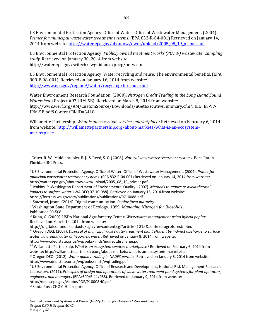US Environmental Protection Agency. Office of Water. Office of Wastewater Management. (2004). *Primer for municipal wastewater treatment systems*. (EPA 832‐R‐04‐001) Retrieved on January 14, 2014 from website: http://water.epa.gov/aboutow/owm/upload/2005\_08\_19\_primer.pdf

US Environmental Protection Agency. *Publicly owned treatment works (POTW) wastewater sampling study.* Retrieved on January 30, 2014 from website: http://water.epa.gov/scitech/swguidance/ppcp/potw.cfm

US Environmental Protection Agency. Water recycling and reuse: The environmental benefits. (EPA 909‐F‐98‐001). Retrieved on January 16, 2014 from website: http://www.epa.gov/region9/water/recycling/brochure.pdf

Water Environment Research Foundation. (2000). *Nitrogen Credit Trading in the Long Island Sound Watershed.* (Project #97‐IRM‐5B). Retrieved on March 8, 2014 from website: http://ww2.werf.org/AM/CustomSource/Downloads/uGetExecutiveSummary.cfm?FILE=ES‐97‐ IRM‐5B.pdf&ContentFileID=3418

Willamette Partnership. *What is an ecosystem services marketplace?* Retrieved on February 6, 2014 from website: http://willamettepartnership.org/about-markets/what-is-an-ecosystemmarketplace

*impacts to surface water.* (WA DEQ 07‐10‐088). Retrieved on January 15, 2014 from website:

https://fortress.wa.gov/ecy/publications/publications/0710088.pdf.

iv Smesrud, Jason. (2014). Digital communication. *Poplar farm maturity.* 

<sup>v</sup> Washington State Department of Ecology. 1999. *Managing Nitrogen for Biosolids.*  Publication 99-508.

vi Kuhn, G. (2000). USDA National Agroforestry Center. *Wastewater management using hybrid poplar.* Retrieved on March 14, 2014 from website:

http://digitalcommons.unl.edu/cgi/viewcontent.cgi?article=1015&context=agroforestnotes<br>vii Oregon DEQ. (2007). *Disposal of municipal wastewater treatment plant effluent by indirect discharge to surface water via groundwater or hyporheic water*. Retrieved on January 8, 2014 from website:

http://www.deq.state.or.us/wq/pubs/imds/indirectdischarge.pdf<br>
<sup>viii</sup> Willamette Partnership. *What is an ecosystem services marketplace*? Retrieved on February 6, 2014 from website: http://willamettepartnership.org/about‐markets/what‐is‐an‐ecosystem‐marketplace

ix Oregon DEQ. (2012). *Water quality trading in NPDES permits*. Retrieved on January 8, 2014 from website: http://www.deq.state.or.us/wq/pubs/imds/wqtrading.pdf

http://nepis.epa.gov/Adobe/PDF/P100C8HC.pdf

<sup>i</sup> Crites, R. W., Middlebrooks, E. J., & Reed, S. C. (2006). *Natural wastewater treatment systems*. Boca Raton, Florida: CRC Press.

ii US Environmental Protection Agency. Office of Water. Office of Wastewater Management. (2004). *Primer for municipal wastewater treatment systems*. (EPA 832‐R‐04‐001) Retrieved on January 14, 2014 from website: http://water.epa.gov/aboutow/owm/upload/2005\_08\_19\_primer.pdf<br>
iii Jenkins, P. Washington Department of Environmental Quality. (2007). *Methods to reduce or avoid thermal* 

<sup>x</sup> US Environmental Protection Agency, Office of Research and Development, National Risk Management Research Laboratory. (2011). *Principles of design and operations of wastewater treatment pond systems for plant operators, engineers, and managers* (EPA/600/R‐11/088). Retrieved on January 9, 2014 from website:

xi Santa Rosa CH2M Hill report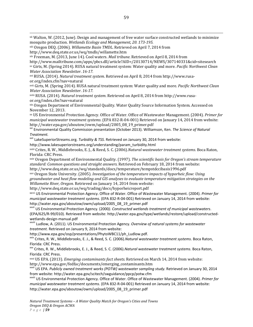xii Walton, W. (2012, June). Design and management of free water surface constructed wetlands to minimize mosquito production. *Wetlands Ecology and Management, 20. 173195.*

xiii Oregon DEQ. (2006). *Willamette Basin TMDL*. Retrieved on April 7, 2014 from

xiv Freeman, M. (2013, June 14). Cool waters. *Mail tribune*. Retrieved on April 8, 2014 from

http://www.mailtribune.com/apps/pbcs.dll/article?AID=/20130714/NEWS/307140331&cid=sitesearch xv Girts, M. (Spring 2014). RUSA natural treatment system: Water quality and more. *Pacific Northwest Clean Water Association Newsletter*. *1617.*

xvi RUSA. (2014). *Natural treatment system*. Retrieved on April 8, 2014 from http://www.rusa‐ or.org/index.cfm?nav=natural

xvii Girts, M. (Spring 2014). RUSA natural treatment system: Water quality and more. *Pacific Northwest Clean Water Association Newsletter*. *1617.*

xviii RUSA. (2014). *Natural treatment system*. Retrieved on April 8, 2014 from http://www.rusa‐ or.org/index.cfm?nav=natural

xix Oregon Department of Environmental Quality. Water Quality Source Information System. Accessed on November 12, 2013.

xx US Environmental Protection Agency. Office of Water. Office of Wastewater Management. (2004). *Primer for municipal wastewater treatment systems*. (EPA 832‐R‐04‐001) Retrieved on January 14, 2014 from website: http://water.epa.gov/aboutow/owm/upload/2005\_08\_19\_primer.pdf xxi Environmental Quality Commission presentation (October 2013). Williamson, Ken. *The Science of Natural*

*Treatment.*

xxii LakeSuperiorStreams.org. *Turbidity & TSS*. Retrieved on January 30, 2014 from website:

http://www.lakesuperiorstreams.org/understanding/param\_turbidity.html

xxiii Crites, R. W., Middlebrooks, E. J., & Reed, S. C. (2006).*Natural wastewater treatment systems*. Boca Raton, Florida: CRC Press.

xxiv Oregon Department of Environmental Quality. (1997). *The scientific basis for Oregon's stream temperature standard: Common questions and straight answers.* Retrieved on February 18, 2014 from website: http://www.deq.state.or.us/wq/standards/docs/temperature/tempstdccibasis1996.pdf

xxv Oregon State University. (2005). *Investigation of the temperature impacts of hyporheic flow: Using groundwater and heat flow modeling and GIS analyses to evaluate temperature mitigation strategies on the Willamette River, Oregon.* Retrieved on January 14, 2014 from website:

http://www.deq.state.or.us/wq/trading/docs/hyporheicreport.pdf

xxvi US Environmental Protection Agency. Office of Water. Office of Wastewater Management. (2004). *Primer for municipal wastewater treatment systems*. (EPA 832‐R‐04‐001) Retrieved on January 14, 2014 from website:

http://water.epa.gov/aboutow/owm/upload/2005\_08\_19\_primer.pdf xxvii US Environmental Protection Agency. (2000*). Constructed wetlands treatment of municipal wastewaters*. (EPA/625/R‐99/010). Retrieved from website: http://water.epa.gov/type/wetlands/restore/upload/constructed‐

wetlands-design-manual.pdf<br><sup>xxviii</sup> Ludlow, A. (2011). US Environmental Protection Agency. *Overview of natural systems for wastewater treatment.* Retrieved on January 9, 2014 from website:

http://www.epa.gov/osp/presentations/PhytoWBC11/ph\_Ludlow.pdf. xxix Crites, R. W., Middlebrooks, E. J., & Reed, S. C. (2006).*Natural wastewater treatment systems*. Boca Raton,

Florida: CRC Press.<br><sup>xxx</sup> Crites, R. W., Middlebrooks, E. J., & Reed, S. C. (2006).*Natural wastewater treatment systems*. Boca Raton, Florida: CRC Press.

xxxi US EPA. (2013). *Emerging contaminants fact sheets.* Retrieved on March 14, 2014 from website: http://www.epa.gov/fedfac/documents/emerging\_contaminants.htm<br>xxxii US EPA. Publicly owned treatment works (POTW) wastewater sampling study. Retrieved on January 30, 2014

from website: http://water.epa.gov/scitech/swguidance/ppcp/potw.cfm xxxiii US Environmental Protection Agency. Office of Water. Office of Wastewater Management. (2004). *Primer for*

*municipal wastewater treatment systems*. (EPA 832‐R‐04‐001) Retrieved on January 14, 2014 from website: http://water.epa.gov/aboutow/owm/upload/2005\_08\_19\_primer.pdf

<u> 1989 - Andrea Santa Andrea Andrea Andrea Andrea Andrea Andrea Andrea Andrea Andrea Andrea Andrea Andrea Andr</u>

http://www.deq.state.or.us/wq/tmdls/willamette.htm